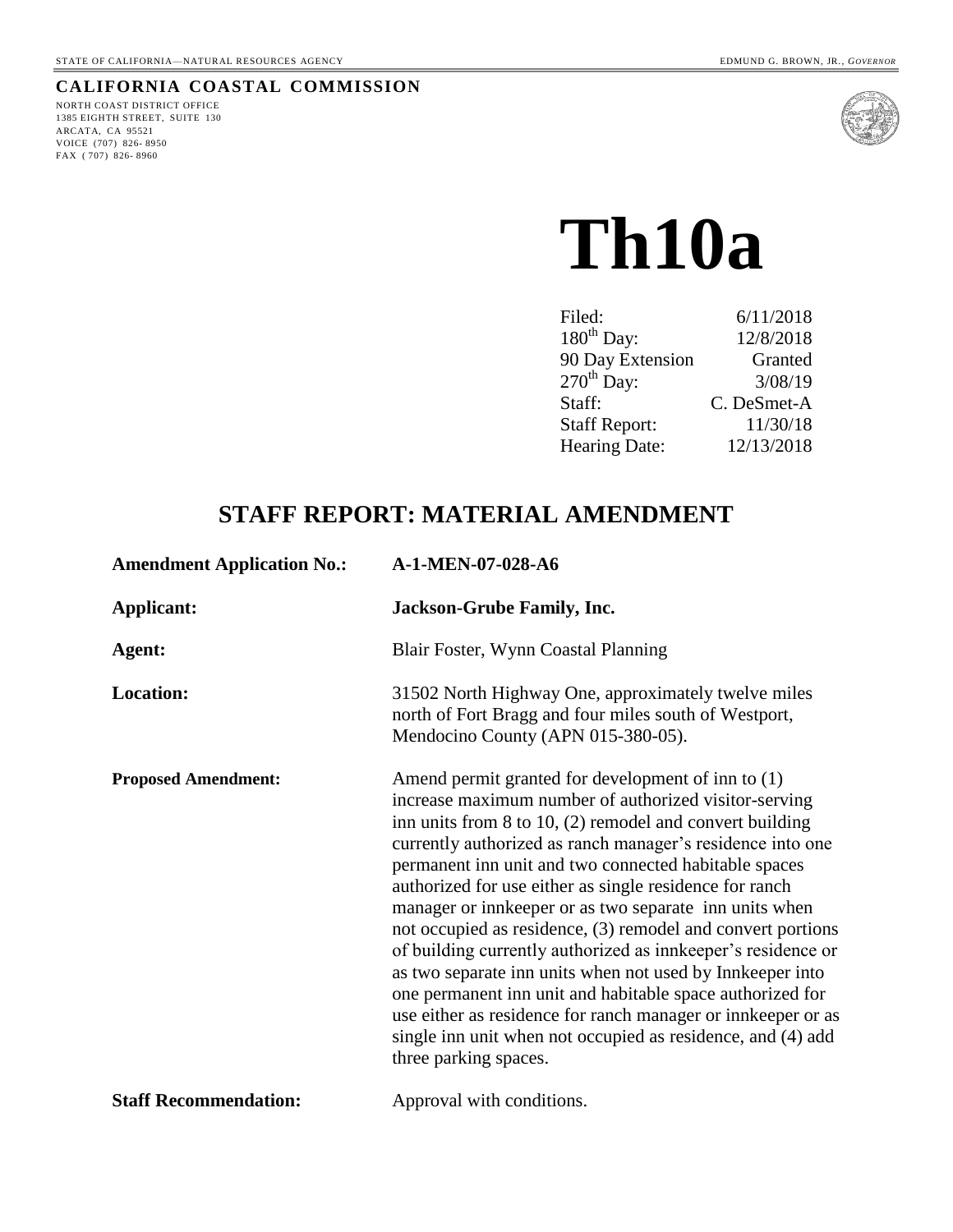#### **CALIFORNIA COASTAL COMMISSION**

NORTH COAST DISTRICT OFFICE 1385 EIGHTH STREET, SUITE 130 ARCATA, CA 95521 VOICE (707) 826- 8950 FAX ( 707) 826- 8960



# **Th10a**

| Filed:               | 6/11/2018   |
|----------------------|-------------|
| $180th$ Day:         | 12/8/2018   |
| 90 Day Extension     | Granted     |
| $270th$ Day:         | 3/08/19     |
| Staff:               | C. DeSmet-A |
| <b>Staff Report:</b> | 11/30/18    |
| Hearing Date:        | 12/13/2018  |
|                      |             |

# **STAFF REPORT: MATERIAL AMENDMENT**

| <b>Amendment Application No.:</b> | A-1-MEN-07-028-A6                                                                                                                                                                                                                                                                                                                                                                                                                                                                                                                                                                                                                                                                                                                                                                                                                           |  |
|-----------------------------------|---------------------------------------------------------------------------------------------------------------------------------------------------------------------------------------------------------------------------------------------------------------------------------------------------------------------------------------------------------------------------------------------------------------------------------------------------------------------------------------------------------------------------------------------------------------------------------------------------------------------------------------------------------------------------------------------------------------------------------------------------------------------------------------------------------------------------------------------|--|
| <b>Applicant:</b>                 | <b>Jackson-Grube Family, Inc.</b>                                                                                                                                                                                                                                                                                                                                                                                                                                                                                                                                                                                                                                                                                                                                                                                                           |  |
| Agent:                            | Blair Foster, Wynn Coastal Planning                                                                                                                                                                                                                                                                                                                                                                                                                                                                                                                                                                                                                                                                                                                                                                                                         |  |
| <b>Location:</b>                  | 31502 North Highway One, approximately twelve miles<br>north of Fort Bragg and four miles south of Westport,<br>Mendocino County (APN 015-380-05).                                                                                                                                                                                                                                                                                                                                                                                                                                                                                                                                                                                                                                                                                          |  |
| <b>Proposed Amendment:</b>        | Amend permit granted for development of inn to (1)<br>increase maximum number of authorized visitor-serving<br>inn units from $8$ to $10$ , $(2)$ remodel and convert building<br>currently authorized as ranch manager's residence into one<br>permanent inn unit and two connected habitable spaces<br>authorized for use either as single residence for ranch<br>manager or innkeeper or as two separate inn units when<br>not occupied as residence, (3) remodel and convert portions<br>of building currently authorized as innkeeper's residence or<br>as two separate inn units when not used by Innkeeper into<br>one permanent inn unit and habitable space authorized for<br>use either as residence for ranch manager or innkeeper or as<br>single inn unit when not occupied as residence, and (4) add<br>three parking spaces. |  |
| <b>Staff Recommendation:</b>      | Approval with conditions.                                                                                                                                                                                                                                                                                                                                                                                                                                                                                                                                                                                                                                                                                                                                                                                                                   |  |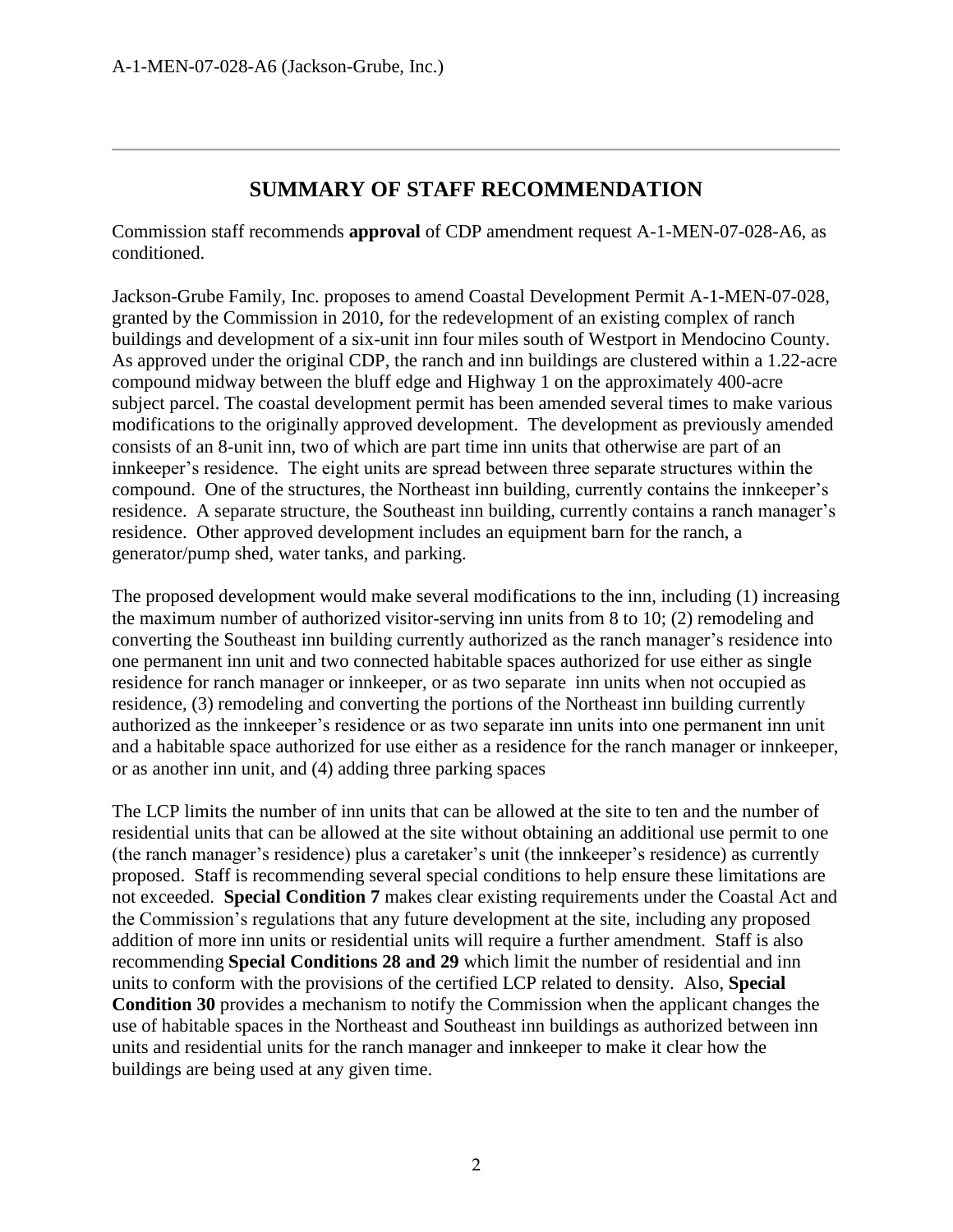## **SUMMARY OF STAFF RECOMMENDATION**

Commission staff recommends **approval** of CDP amendment request A-1-MEN-07-028-A6, as conditioned.

Jackson-Grube Family, Inc. proposes to amend Coastal Development Permit A-1-MEN-07-028, granted by the Commission in 2010, for the redevelopment of an existing complex of ranch buildings and development of a six-unit inn four miles south of Westport in Mendocino County. As approved under the original CDP, the ranch and inn buildings are clustered within a 1.22-acre compound midway between the bluff edge and Highway 1 on the approximately 400-acre subject parcel. The coastal development permit has been amended several times to make various modifications to the originally approved development. The development as previously amended consists of an 8-unit inn, two of which are part time inn units that otherwise are part of an innkeeper's residence. The eight units are spread between three separate structures within the compound. One of the structures, the Northeast inn building, currently contains the innkeeper's residence. A separate structure, the Southeast inn building, currently contains a ranch manager's residence. Other approved development includes an equipment barn for the ranch, a generator/pump shed, water tanks, and parking.

The proposed development would make several modifications to the inn, including (1) increasing the maximum number of authorized visitor-serving inn units from 8 to 10; (2) remodeling and converting the Southeast inn building currently authorized as the ranch manager's residence into one permanent inn unit and two connected habitable spaces authorized for use either as single residence for ranch manager or innkeeper, or as two separate inn units when not occupied as residence, (3) remodeling and converting the portions of the Northeast inn building currently authorized as the innkeeper's residence or as two separate inn units into one permanent inn unit and a habitable space authorized for use either as a residence for the ranch manager or innkeeper, or as another inn unit, and (4) adding three parking spaces

The LCP limits the number of inn units that can be allowed at the site to ten and the number of residential units that can be allowed at the site without obtaining an additional use permit to one (the ranch manager's residence) plus a caretaker's unit (the innkeeper's residence) as currently proposed. Staff is recommending several special conditions to help ensure these limitations are not exceeded. **Special Condition 7** makes clear existing requirements under the Coastal Act and the Commission's regulations that any future development at the site, including any proposed addition of more inn units or residential units will require a further amendment. Staff is also recommending **Special Conditions 28 and 29** which limit the number of residential and inn units to conform with the provisions of the certified LCP related to density. Also, **Special Condition 30** provides a mechanism to notify the Commission when the applicant changes the use of habitable spaces in the Northeast and Southeast inn buildings as authorized between inn units and residential units for the ranch manager and innkeeper to make it clear how the buildings are being used at any given time.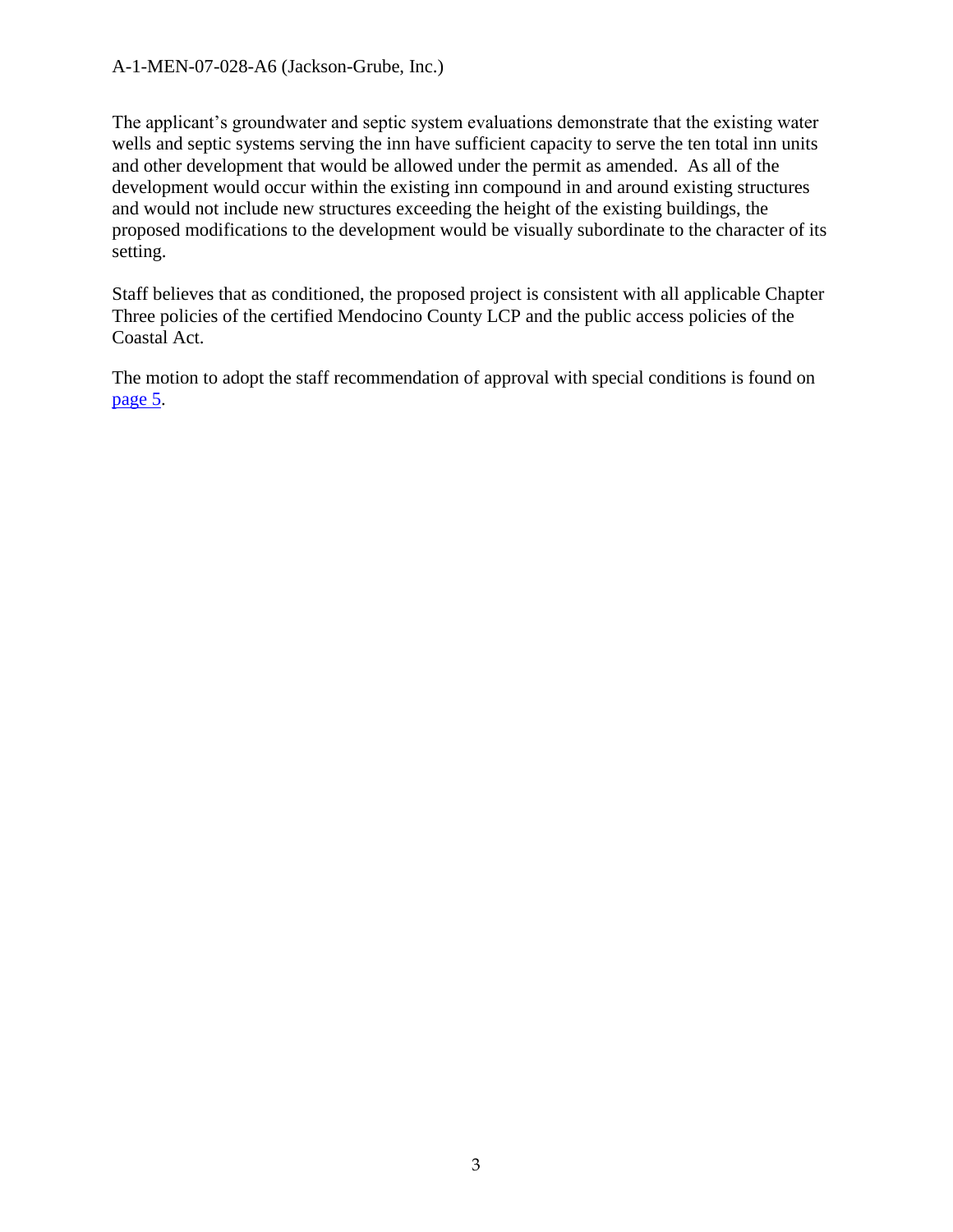#### A-1-MEN-07-028-A6 (Jackson-Grube, Inc.)

The applicant's groundwater and septic system evaluations demonstrate that the existing water wells and septic systems serving the inn have sufficient capacity to serve the ten total inn units and other development that would be allowed under the permit as amended. As all of the development would occur within the existing inn compound in and around existing structures and would not include new structures exceeding the height of the existing buildings, the proposed modifications to the development would be visually subordinate to the character of its setting.

Staff believes that as conditioned, the proposed project is consistent with all applicable Chapter Three policies of the certified Mendocino County LCP and the public access policies of the Coastal Act.

The motion to adopt the staff recommendation of approval with special conditions is found on [page 5.](#page-4-0)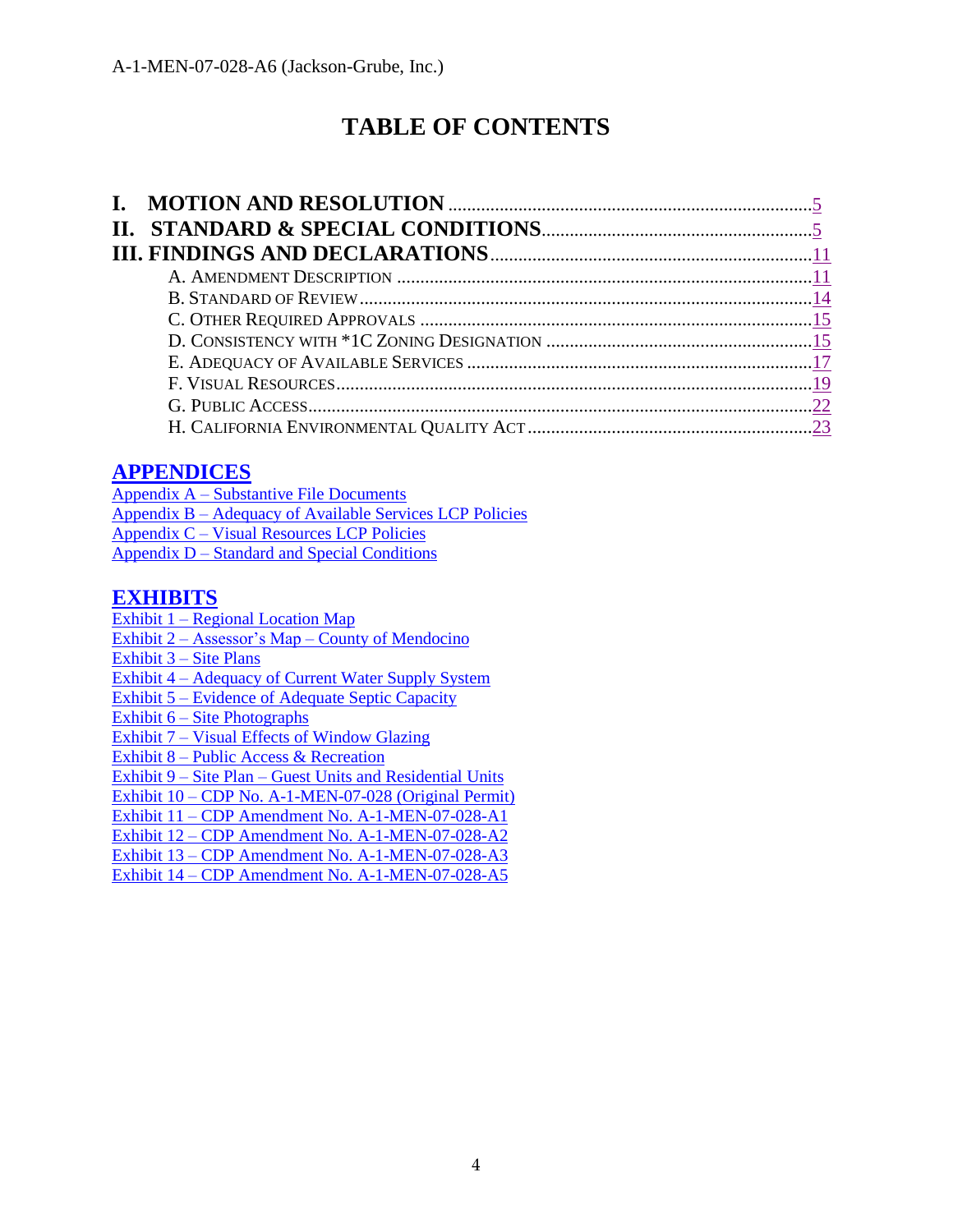# **TABLE OF CONTENTS**

## **[APPENDICES](https://documents.coastal.ca.gov/reports/2018/12/th10a/th10a-12-2018-appendix.pdf)**

| $Appendix A - Substantive File Documents$                  |
|------------------------------------------------------------|
| Appendix B – Adequacy of Available Services LCP Policies   |
| Appendix C – Visual Resources LCP Policies                 |
| <u><b>Appendix D – Standard and Special Conditions</b></u> |

#### **[EXHIBITS](https://documents.coastal.ca.gov/reports/2018/12/th10a/th10a-12-2018-exhibits.pdf)**

- Exhibit 1 [Regional Location Map](https://documents.coastal.ca.gov/reports/2018/12/th10a/th10a-12-2018-exhibits.pdf)
- Exhibit 2 Assessor's Map [County of Mendocino](https://documents.coastal.ca.gov/reports/2018/12/th10a/th10a-12-2018-exhibits.pdf)
- Exhibit 3 [Site Plans](https://documents.coastal.ca.gov/reports/2018/12/th10a/th10a-12-2018-exhibits.pdf)
- Exhibit 4 [Adequacy of Current Water Supply System](https://documents.coastal.ca.gov/reports/2018/12/th10a/th10a-12-2018-exhibits.pdf)
- Exhibit 5 [Evidence of Adequate Septic Capacity](https://documents.coastal.ca.gov/reports/2018/12/th10a/th10a-12-2018-exhibits.pdf)
- Exhibit 6 [Site Photographs](https://documents.coastal.ca.gov/reports/2018/12/th10a/th10a-12-2018-exhibits.pdf)
- Exhibit 7 [Visual Effects of Window Glazing](https://documents.coastal.ca.gov/reports/2018/12/th10a/th10a-12-2018-exhibits.pdf)
- Exhibit 8 [Public Access & Recreation](https://documents.coastal.ca.gov/reports/2018/12/th10a/th10a-12-2018-exhibits.pdf)

Exhibit 9 – Site Plan – [Guest Units and Residential](https://documents.coastal.ca.gov/reports/2018/12/th10a/th10a-12-2018-exhibits.pdf) Units

- Exhibit 10 [CDP No. A-1-MEN-07-028 \(Original Permit\)](https://documents.coastal.ca.gov/reports/2018/12/th10a/th10a-12-2018-exhibits.pdf)
- Exhibit 11 [CDP Amendment No. A-1-MEN-07-028-A1](https://documents.coastal.ca.gov/reports/2018/12/th10a/th10a-12-2018-exhibits.pdf)
- Exhibit 12 [CDP Amendment No. A-1-MEN-07-028-A2](https://documents.coastal.ca.gov/reports/2018/12/th10a/th10a-12-2018-exhibits.pdf)
- Exhibit 13 [CDP Amendment No. A-1-MEN-07-028-A3](https://documents.coastal.ca.gov/reports/2018/12/th10a/th10a-12-2018-exhibits.pdf)
- Exhibit 14 [CDP Amendment No. A-1-MEN-07-028-A5](https://documents.coastal.ca.gov/reports/2018/12/th10a/th10a-12-2018-exhibits.pdf)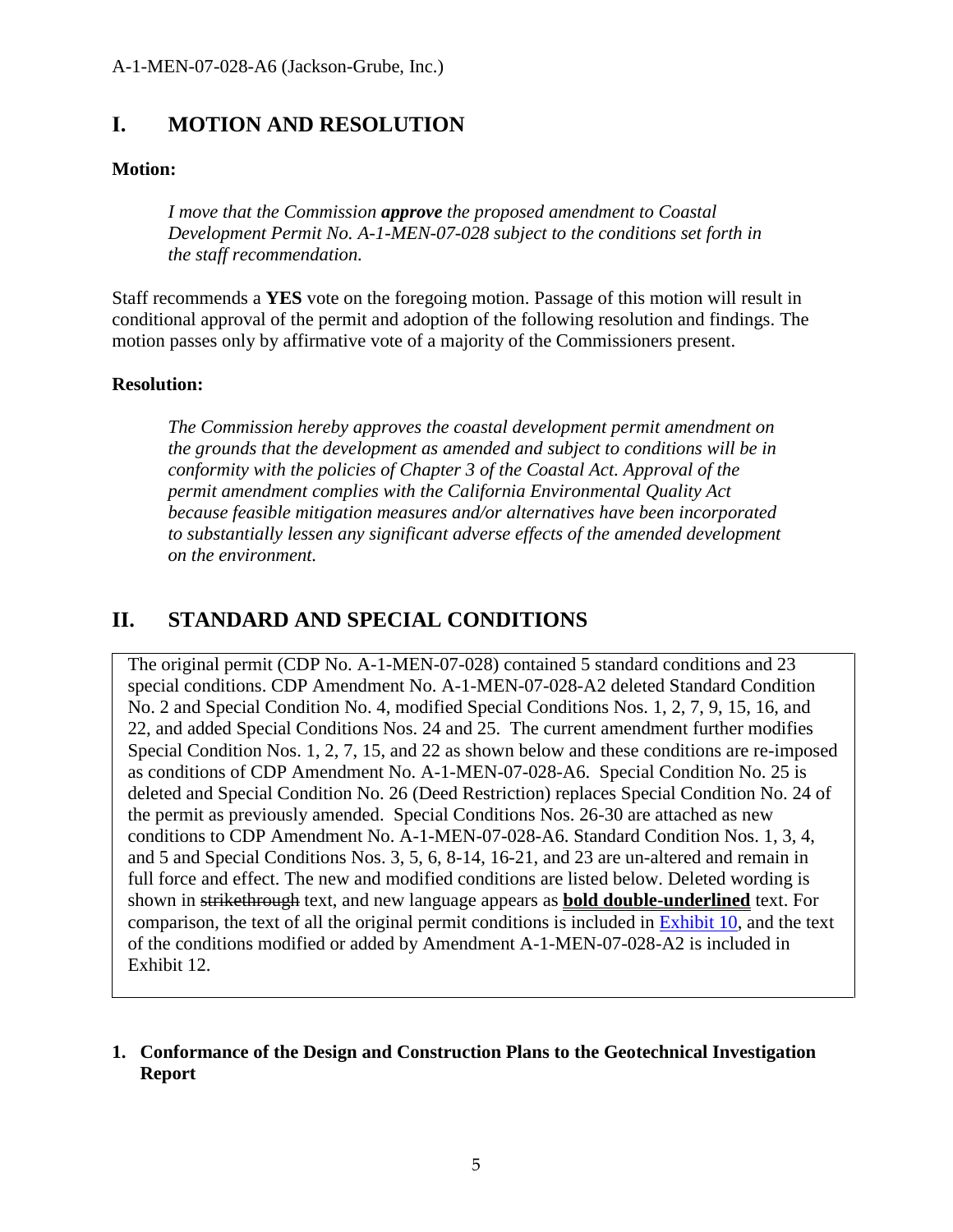## <span id="page-4-0"></span>**I. MOTION AND RESOLUTION**

#### **Motion:**

*I move that the Commission approve the proposed amendment to Coastal Development Permit No. A-1-MEN-07-028 subject to the conditions set forth in the staff recommendation.*

Staff recommends a **YES** vote on the foregoing motion. Passage of this motion will result in conditional approval of the permit and adoption of the following resolution and findings. The motion passes only by affirmative vote of a majority of the Commissioners present.

#### **Resolution:**

*The Commission hereby approves the coastal development permit amendment on the grounds that the development as amended and subject to conditions will be in conformity with the policies of Chapter 3 of the Coastal Act. Approval of the permit amendment complies with the California Environmental Quality Act because feasible mitigation measures and/or alternatives have been incorporated to substantially lessen any significant adverse effects of the amended development on the environment.*

## <span id="page-4-1"></span>**II. STANDARD AND SPECIAL CONDITIONS**

The original permit (CDP No. A-1-MEN-07-028) contained 5 standard conditions and 23 special conditions. CDP Amendment No. A-1-MEN-07-028-A2 deleted Standard Condition No. 2 and Special Condition No. 4, modified Special Conditions Nos. 1, 2, 7, 9, 15, 16, and 22, and added Special Conditions Nos. 24 and 25. The current amendment further modifies Special Condition Nos. 1, 2, 7, 15, and 22 as shown below and these conditions are re-imposed as conditions of CDP Amendment No. A-1-MEN-07-028-A6. Special Condition No. 25 is deleted and Special Condition No. 26 (Deed Restriction) replaces Special Condition No. 24 of the permit as previously amended. Special Conditions Nos. 26-30 are attached as new conditions to CDP Amendment No. A-1-MEN-07-028-A6. Standard Condition Nos. 1, 3, 4, and 5 and Special Conditions Nos. 3, 5, 6, 8-14, 16-21, and 23 are un-altered and remain in full force and effect. The new and modified conditions are listed below. Deleted wording is shown in strikethrough text, and new language appears as **bold double-underlined** text. For comparison, the text of all the original permit conditions is included in [Exhibit 1](https://documents.coastal.ca.gov/reports/2018/12/th10a/th10a-12-2018-exhibits.pdf)0, and the text of the conditions modified or added by Amendment A-1-MEN-07-028-A2 is included in Exhibit 12.

#### **1. Conformance of the Design and Construction Plans to the Geotechnical Investigation Report**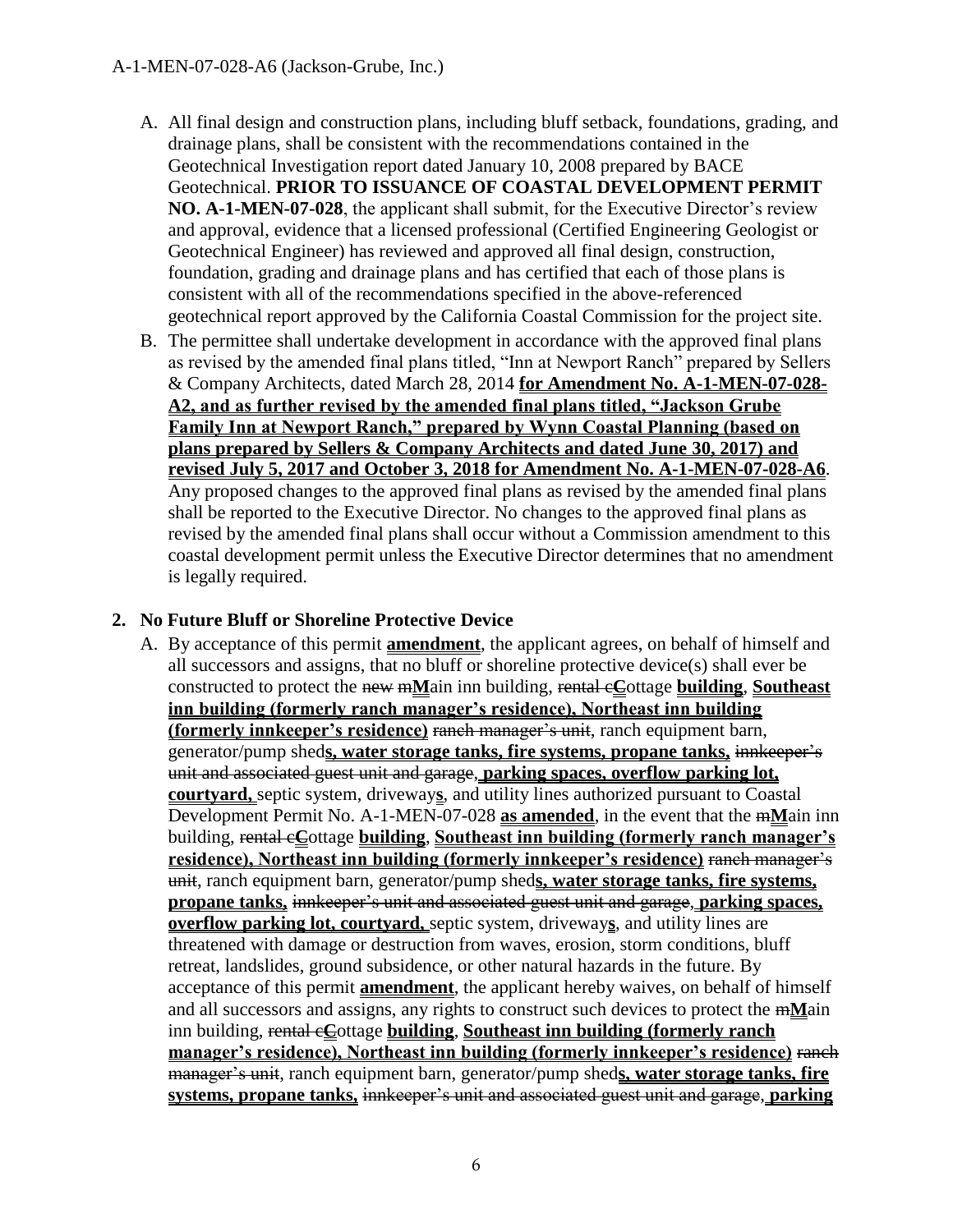- A. All final design and construction plans, including bluff setback, foundations, grading, and drainage plans, shall be consistent with the recommendations contained in the Geotechnical Investigation report dated January 10, 2008 prepared by BACE Geotechnical. **PRIOR TO ISSUANCE OF COASTAL DEVELOPMENT PERMIT NO. A-1-MEN-07-028**, the applicant shall submit, for the Executive Director's review and approval, evidence that a licensed professional (Certified Engineering Geologist or Geotechnical Engineer) has reviewed and approved all final design, construction, foundation, grading and drainage plans and has certified that each of those plans is consistent with all of the recommendations specified in the above-referenced geotechnical report approved by the California Coastal Commission for the project site.
- B. The permittee shall undertake development in accordance with the approved final plans as revised by the amended final plans titled, "Inn at Newport Ranch" prepared by Sellers & Company Architects, dated March 28, 2014 **for Amendment No. A-1-MEN-07-028- A2, and as further revised by the amended final plans titled, "Jackson Grube Family Inn at Newport Ranch," prepared by Wynn Coastal Planning (based on plans prepared by Sellers & Company Architects and dated June 30, 2017) and revised July 5, 2017 and October 3, 2018 for Amendment No. A-1-MEN-07-028-A6**. Any proposed changes to the approved final plans as revised by the amended final plans shall be reported to the Executive Director. No changes to the approved final plans as revised by the amended final plans shall occur without a Commission amendment to this coastal development permit unless the Executive Director determines that no amendment is legally required.

#### **2. No Future Bluff or Shoreline Protective Device**

A. By acceptance of this permit **amendment**, the applicant agrees, on behalf of himself and all successors and assigns, that no bluff or shoreline protective device(s) shall ever be constructed to protect the new m**M**ain inn building, rental c**C**ottage **building**, **Southeast inn building (formerly ranch manager's residence), Northeast inn building (formerly innkeeper's residence)** ranch manager's unit, ranch equipment barn, generator/pump shed**s, water storage tanks, fire systems, propane tanks,** innkeeper's unit and associated guest unit and garage, **parking spaces, overflow parking lot, courtyard,** septic system, driveway**s**, and utility lines authorized pursuant to Coastal Development Permit No. A-1-MEN-07-028 **as amended**, in the event that the m**M**ain inn building, rental c**C**ottage **building**, **Southeast inn building (formerly ranch manager's residence), Northeast inn building (formerly innkeeper's residence)** ranch manager's unit, ranch equipment barn, generator/pump shed**s, water storage tanks, fire systems, propane tanks,** innkeeper's unit and associated guest unit and garage, **parking spaces, overflow parking lot, courtyard,** septic system, driveway**s**, and utility lines are threatened with damage or destruction from waves, erosion, storm conditions, bluff retreat, landslides, ground subsidence, or other natural hazards in the future. By acceptance of this permit **amendment**, the applicant hereby waives, on behalf of himself and all successors and assigns, any rights to construct such devices to protect the m**M**ain inn building, rental c**C**ottage **building**, **Southeast inn building (formerly ranch manager's residence), Northeast inn building (formerly innkeeper's residence)** ranch manager's unit, ranch equipment barn, generator/pump shed**s, water storage tanks, fire systems, propane tanks,** innkeeper's unit and associated guest unit and garage, **parking**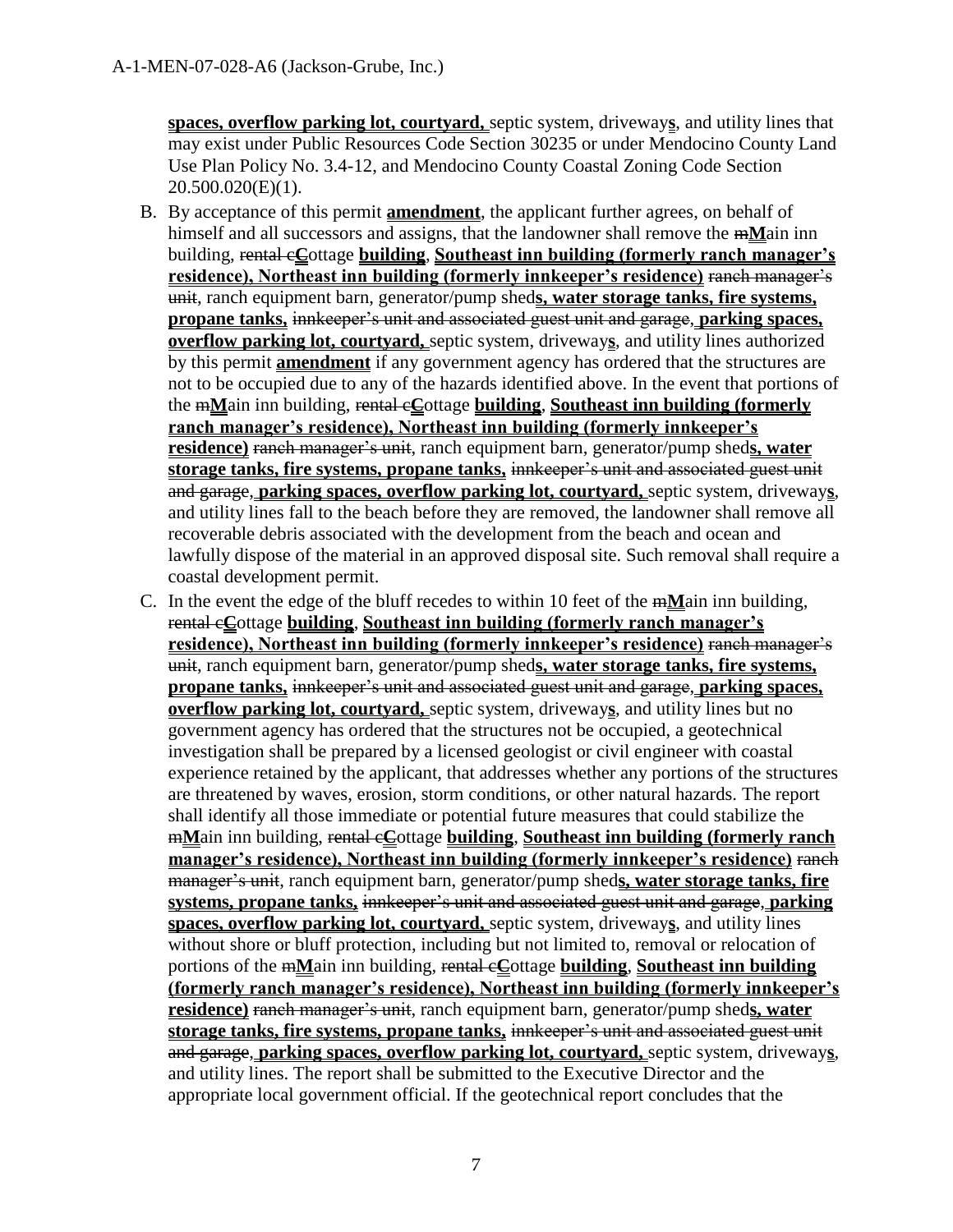**spaces, overflow parking lot, courtyard,** septic system, driveway**s**, and utility lines that may exist under Public Resources Code Section 30235 or under Mendocino County Land Use Plan Policy No. 3.4-12, and Mendocino County Coastal Zoning Code Section 20.500.020(E)(1).

- B. By acceptance of this permit **amendment**, the applicant further agrees, on behalf of himself and all successors and assigns, that the landowner shall remove the m**M**ain inn building, rental c**C**ottage **building**, **Southeast inn building (formerly ranch manager's residence), Northeast inn building (formerly innkeeper's residence)** ranch manager's unit, ranch equipment barn, generator/pump shed**s, water storage tanks, fire systems, propane tanks,** innkeeper's unit and associated guest unit and garage, **parking spaces, overflow parking lot, courtyard,** septic system, driveway**s**, and utility lines authorized by this permit **amendment** if any government agency has ordered that the structures are not to be occupied due to any of the hazards identified above. In the event that portions of the m**M**ain inn building, rental c**C**ottage **building**, **Southeast inn building (formerly ranch manager's residence), Northeast inn building (formerly innkeeper's residence)** ranch manager's unit, ranch equipment barn, generator/pump shed**s, water storage tanks, fire systems, propane tanks,** innkeeper's unit and associated guest unit and garage, **parking spaces, overflow parking lot, courtyard,** septic system, driveway**s**, and utility lines fall to the beach before they are removed, the landowner shall remove all recoverable debris associated with the development from the beach and ocean and lawfully dispose of the material in an approved disposal site. Such removal shall require a coastal development permit.
- C. In the event the edge of the bluff recedes to within 10 feet of the m**M**ain inn building, rental c**C**ottage **building**, **Southeast inn building (formerly ranch manager's residence), Northeast inn building (formerly innkeeper's residence)** ranch manager's unit, ranch equipment barn, generator/pump shed**s, water storage tanks, fire systems, propane tanks,** innkeeper's unit and associated guest unit and garage, **parking spaces, overflow parking lot, courtyard,** septic system, driveway**s**, and utility lines but no government agency has ordered that the structures not be occupied, a geotechnical investigation shall be prepared by a licensed geologist or civil engineer with coastal experience retained by the applicant, that addresses whether any portions of the structures are threatened by waves, erosion, storm conditions, or other natural hazards. The report shall identify all those immediate or potential future measures that could stabilize the m**M**ain inn building, rental c**C**ottage **building**, **Southeast inn building (formerly ranch manager's residence), Northeast inn building (formerly innkeeper's residence)** ranch manager's unit, ranch equipment barn, generator/pump shed**s, water storage tanks, fire systems, propane tanks,** innkeeper's unit and associated guest unit and garage, **parking spaces, overflow parking lot, courtyard,** septic system, driveway**s**, and utility lines without shore or bluff protection, including but not limited to, removal or relocation of portions of the m**M**ain inn building, rental c**C**ottage **building**, **Southeast inn building (formerly ranch manager's residence), Northeast inn building (formerly innkeeper's residence)** ranch manager's unit, ranch equipment barn, generator/pump shed**s, water storage tanks, fire systems, propane tanks,** innkeeper's unit and associated guest unit and garage, **parking spaces, overflow parking lot, courtyard,** septic system, driveway**s**, and utility lines. The report shall be submitted to the Executive Director and the appropriate local government official. If the geotechnical report concludes that the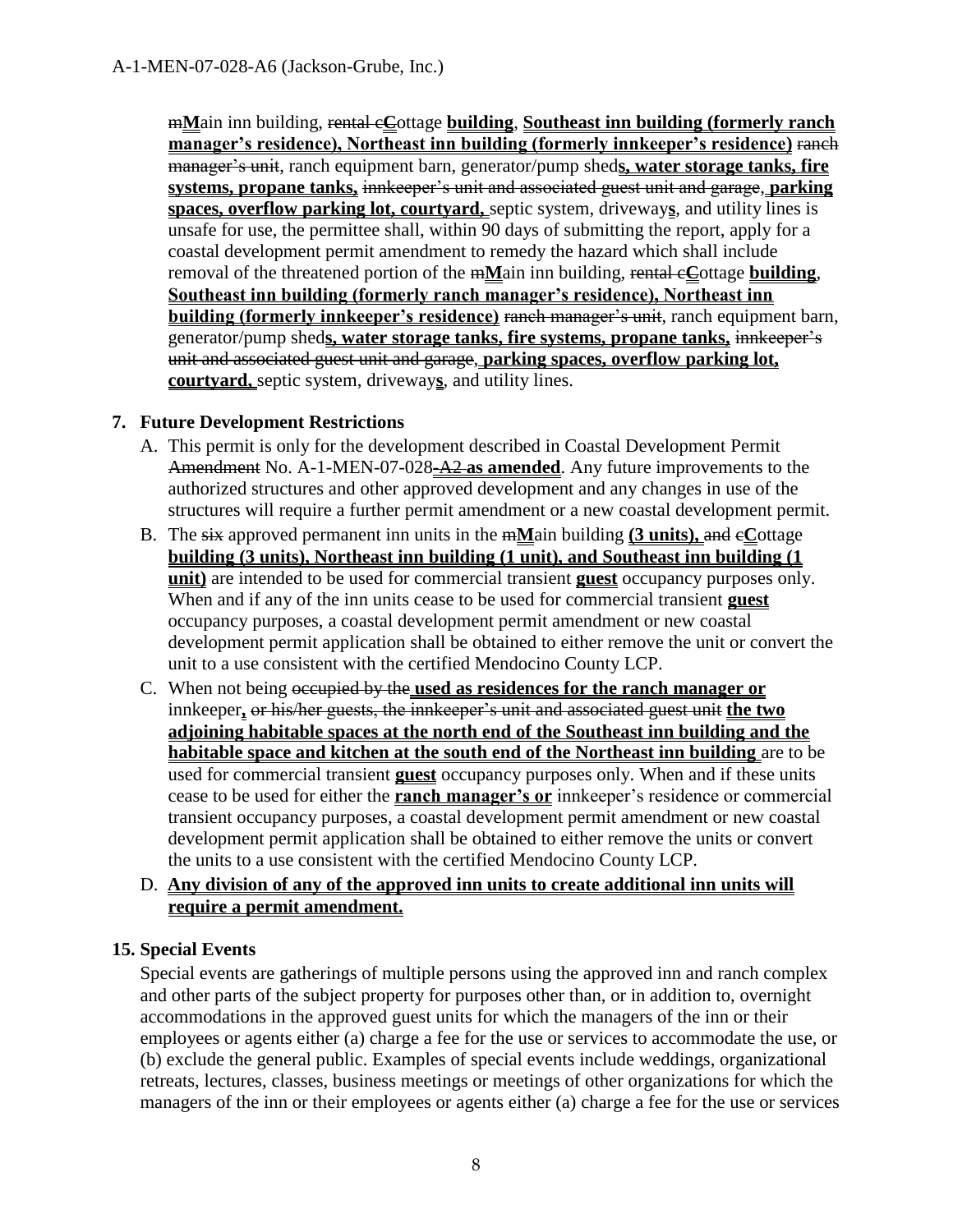m**M**ain inn building, rental c**C**ottage **building**, **Southeast inn building (formerly ranch manager's residence), Northeast inn building (formerly innkeeper's residence)** ranch manager's unit, ranch equipment barn, generator/pump shed**s, water storage tanks, fire systems, propane tanks,** innkeeper's unit and associated guest unit and garage, **parking spaces, overflow parking lot, courtyard,** septic system, driveway**s**, and utility lines is unsafe for use, the permittee shall, within 90 days of submitting the report, apply for a coastal development permit amendment to remedy the hazard which shall include removal of the threatened portion of the m**M**ain inn building, rental c**C**ottage **building**, **Southeast inn building (formerly ranch manager's residence), Northeast inn building (formerly innkeeper's residence)** ranch manager's unit, ranch equipment barn, generator/pump shed**s, water storage tanks, fire systems, propane tanks,** innkeeper's unit and associated guest unit and garage, **parking spaces, overflow parking lot, courtyard,** septic system, driveway**s**, and utility lines.

#### **7. Future Development Restrictions**

- A. This permit is only for the development described in Coastal Development Permit Amendment No. A-1-MEN-07-028-A2 **as amended**. Any future improvements to the authorized structures and other approved development and any changes in use of the structures will require a further permit amendment or a new coastal development permit.
- B. The six approved permanent inn units in the m**M**ain building **(3 units),** and c**C**ottage **building (3 units), Northeast inn building (1 unit), and Southeast inn building (1 unit)** are intended to be used for commercial transient **guest** occupancy purposes only. When and if any of the inn units cease to be used for commercial transient **guest** occupancy purposes, a coastal development permit amendment or new coastal development permit application shall be obtained to either remove the unit or convert the unit to a use consistent with the certified Mendocino County LCP.
- C. When not being occupied by the **used as residences for the ranch manager or** innkeeper**,** or his/her guests, the innkeeper's unit and associated guest unit **the two adjoining habitable spaces at the north end of the Southeast inn building and the habitable space and kitchen at the south end of the Northeast inn building** are to be used for commercial transient **guest** occupancy purposes only. When and if these units cease to be used for either the **ranch manager's or** innkeeper's residence or commercial transient occupancy purposes, a coastal development permit amendment or new coastal development permit application shall be obtained to either remove the units or convert the units to a use consistent with the certified Mendocino County LCP.

#### D. **Any division of any of the approved inn units to create additional inn units will require a permit amendment.**

#### **15. Special Events**

Special events are gatherings of multiple persons using the approved inn and ranch complex and other parts of the subject property for purposes other than, or in addition to, overnight accommodations in the approved guest units for which the managers of the inn or their employees or agents either (a) charge a fee for the use or services to accommodate the use, or (b) exclude the general public. Examples of special events include weddings, organizational retreats, lectures, classes, business meetings or meetings of other organizations for which the managers of the inn or their employees or agents either (a) charge a fee for the use or services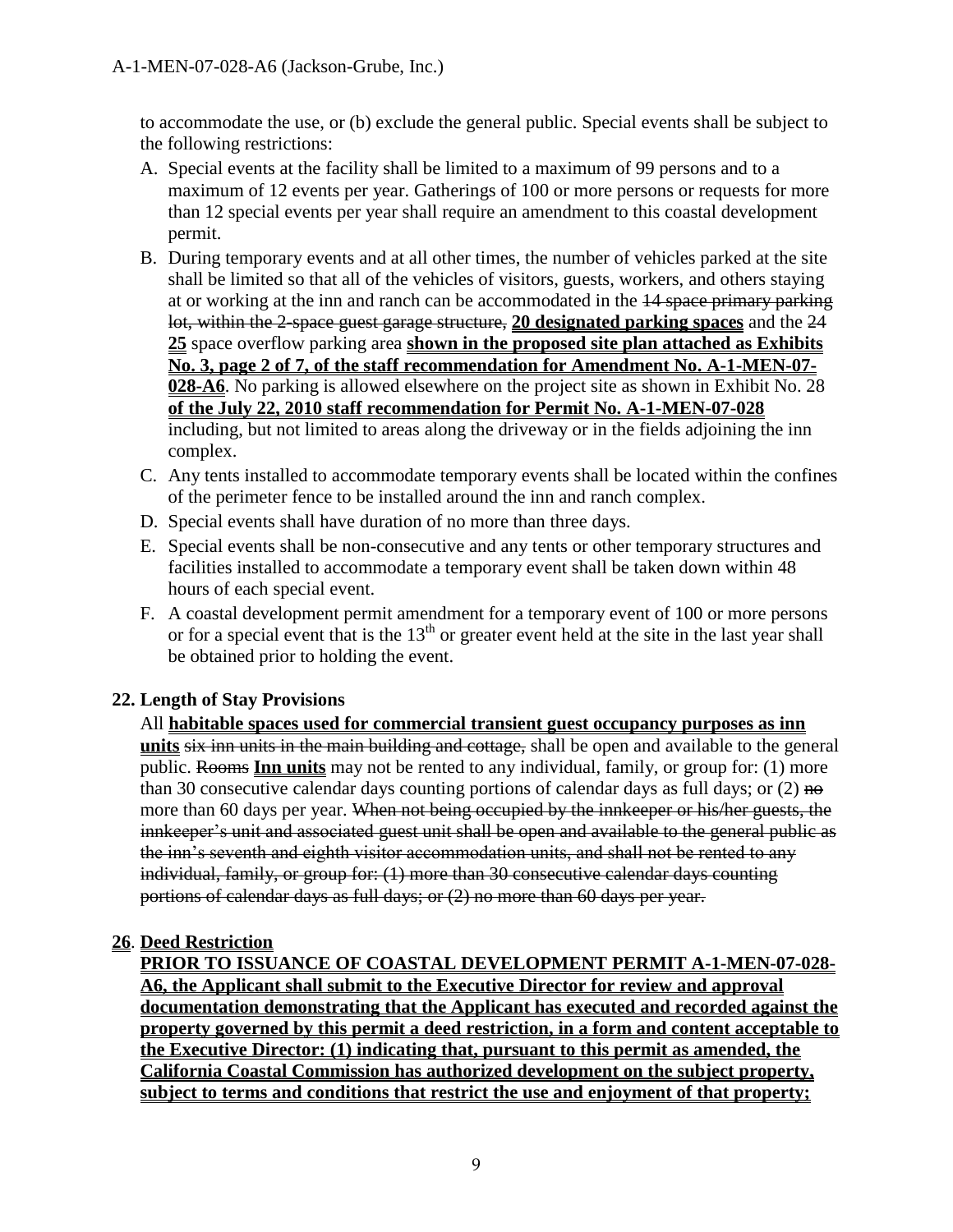to accommodate the use, or (b) exclude the general public. Special events shall be subject to the following restrictions:

- A. Special events at the facility shall be limited to a maximum of 99 persons and to a maximum of 12 events per year. Gatherings of 100 or more persons or requests for more than 12 special events per year shall require an amendment to this coastal development permit.
- B. During temporary events and at all other times, the number of vehicles parked at the site shall be limited so that all of the vehicles of visitors, guests, workers, and others staying at or working at the inn and ranch can be accommodated in the 14 space primary parking lot, within the 2-space guest garage structure, **20 designated parking spaces** and the 24 **25** space overflow parking area **shown in the proposed site plan attached as Exhibits No. 3, page 2 of 7, of the staff recommendation for Amendment No. A-1-MEN-07- 028-A6**. No parking is allowed elsewhere on the project site as shown in Exhibit No. 28 **of the July 22, 2010 staff recommendation for Permit No. A-1-MEN-07-028** including, but not limited to areas along the driveway or in the fields adjoining the inn complex.
- C. Any tents installed to accommodate temporary events shall be located within the confines of the perimeter fence to be installed around the inn and ranch complex.
- D. Special events shall have duration of no more than three days.
- E. Special events shall be non-consecutive and any tents or other temporary structures and facilities installed to accommodate a temporary event shall be taken down within 48 hours of each special event.
- F. A coastal development permit amendment for a temporary event of 100 or more persons or for a special event that is the  $13<sup>th</sup>$  or greater event held at the site in the last year shall be obtained prior to holding the event.

#### **22. Length of Stay Provisions**

All **habitable spaces used for commercial transient guest occupancy purposes as inn units** six inn units in the main building and cottage, shall be open and available to the general public. Rooms **Inn units** may not be rented to any individual, family, or group for: (1) more than 30 consecutive calendar days counting portions of calendar days as full days; or  $(2)$  no more than 60 days per year. When not being occupied by the innkeeper or his/her guests, the innkeeper's unit and associated guest unit shall be open and available to the general public as the inn's seventh and eighth visitor accommodation units, and shall not be rented to any individual, family, or group for: (1) more than 30 consecutive calendar days counting portions of calendar days as full days; or (2) no more than 60 days per year.

## **26**. **Deed Restriction**

**PRIOR TO ISSUANCE OF COASTAL DEVELOPMENT PERMIT A-1-MEN-07-028- A6, the Applicant shall submit to the Executive Director for review and approval documentation demonstrating that the Applicant has executed and recorded against the property governed by this permit a deed restriction, in a form and content acceptable to the Executive Director: (1) indicating that, pursuant to this permit as amended, the California Coastal Commission has authorized development on the subject property, subject to terms and conditions that restrict the use and enjoyment of that property;**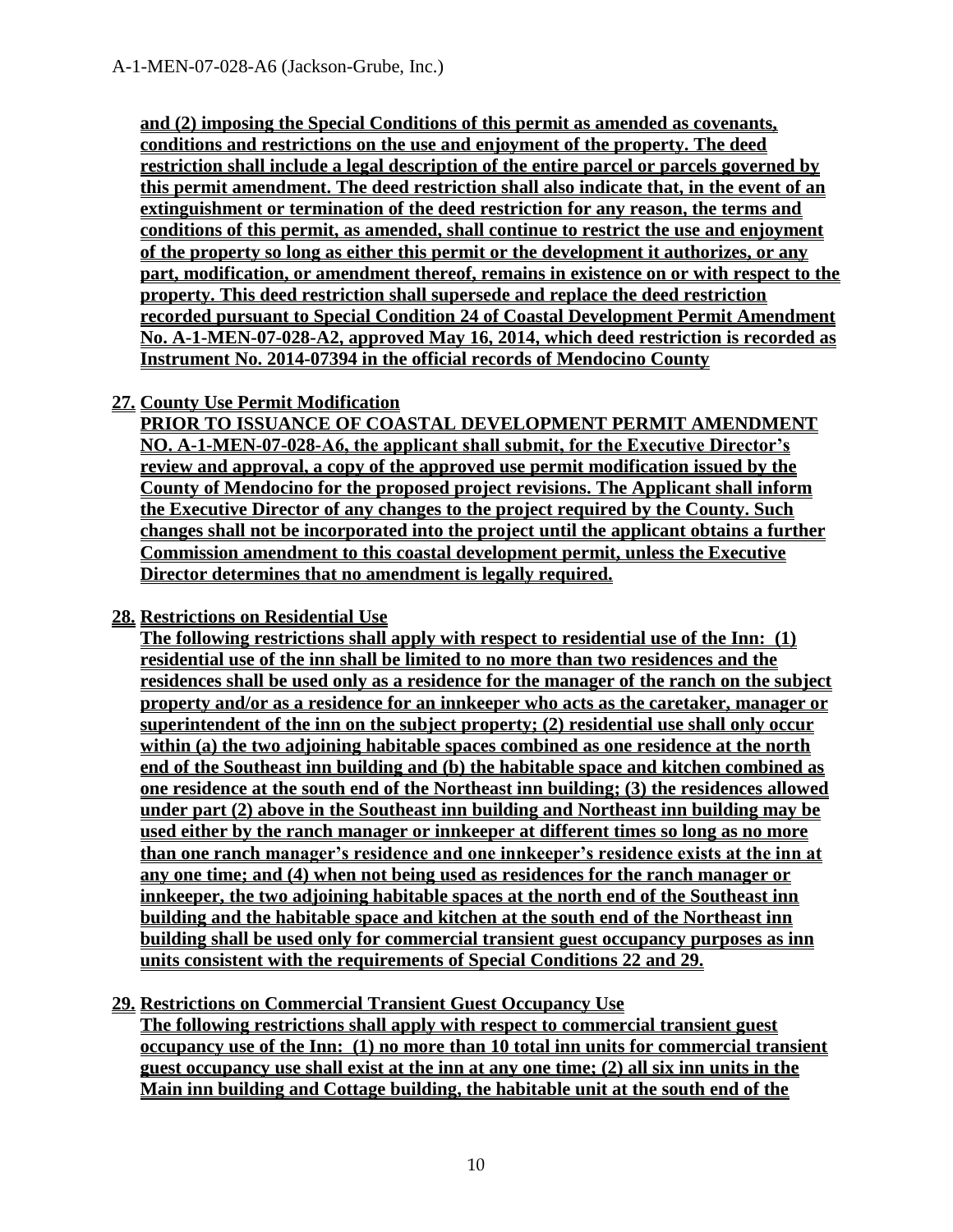**and (2) imposing the Special Conditions of this permit as amended as covenants, conditions and restrictions on the use and enjoyment of the property. The deed restriction shall include a legal description of the entire parcel or parcels governed by this permit amendment. The deed restriction shall also indicate that, in the event of an extinguishment or termination of the deed restriction for any reason, the terms and conditions of this permit, as amended, shall continue to restrict the use and enjoyment of the property so long as either this permit or the development it authorizes, or any part, modification, or amendment thereof, remains in existence on or with respect to the property. This deed restriction shall supersede and replace the deed restriction recorded pursuant to Special Condition 24 of Coastal Development Permit Amendment No. A-1-MEN-07-028-A2, approved May 16, 2014, which deed restriction is recorded as Instrument No. 2014-07394 in the official records of Mendocino County**

#### **27. County Use Permit Modification**

**PRIOR TO ISSUANCE OF COASTAL DEVELOPMENT PERMIT AMENDMENT NO. A-1-MEN-07-028-A6, the applicant shall submit, for the Executive Director's review and approval, a copy of the approved use permit modification issued by the County of Mendocino for the proposed project revisions. The Applicant shall inform the Executive Director of any changes to the project required by the County. Such changes shall not be incorporated into the project until the applicant obtains a further Commission amendment to this coastal development permit, unless the Executive Director determines that no amendment is legally required.** 

#### **28. Restrictions on Residential Use**

**The following restrictions shall apply with respect to residential use of the Inn: (1) residential use of the inn shall be limited to no more than two residences and the residences shall be used only as a residence for the manager of the ranch on the subject property and/or as a residence for an innkeeper who acts as the caretaker, manager or superintendent of the inn on the subject property; (2) residential use shall only occur within (a) the two adjoining habitable spaces combined as one residence at the north end of the Southeast inn building and (b) the habitable space and kitchen combined as one residence at the south end of the Northeast inn building; (3) the residences allowed under part (2) above in the Southeast inn building and Northeast inn building may be used either by the ranch manager or innkeeper at different times so long as no more than one ranch manager's residence and one innkeeper's residence exists at the inn at any one time; and (4) when not being used as residences for the ranch manager or innkeeper, the two adjoining habitable spaces at the north end of the Southeast inn building and the habitable space and kitchen at the south end of the Northeast inn building shall be used only for commercial transient guest occupancy purposes as inn units consistent with the requirements of Special Conditions 22 and 29.**

#### **29. Restrictions on Commercial Transient Guest Occupancy Use**

**The following restrictions shall apply with respect to commercial transient guest occupancy use of the Inn: (1) no more than 10 total inn units for commercial transient guest occupancy use shall exist at the inn at any one time; (2) all six inn units in the Main inn building and Cottage building, the habitable unit at the south end of the**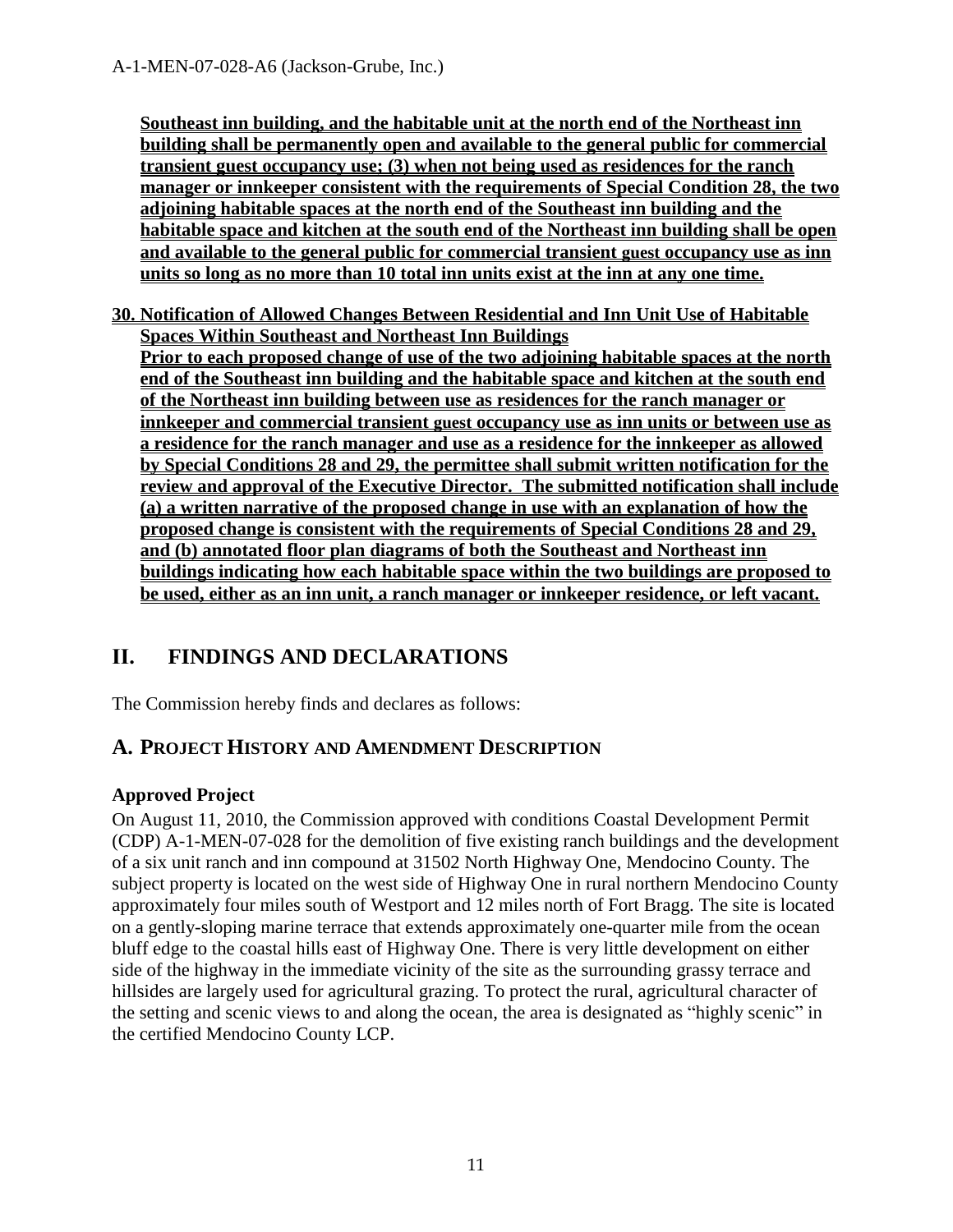**Southeast inn building, and the habitable unit at the north end of the Northeast inn building shall be permanently open and available to the general public for commercial transient guest occupancy use; (3) when not being used as residences for the ranch manager or innkeeper consistent with the requirements of Special Condition 28, the two adjoining habitable spaces at the north end of the Southeast inn building and the habitable space and kitchen at the south end of the Northeast inn building shall be open and available to the general public for commercial transient guest occupancy use as inn units so long as no more than 10 total inn units exist at the inn at any one time.**

**30. Notification of Allowed Changes Between Residential and Inn Unit Use of Habitable Spaces Within Southeast and Northeast Inn Buildings Prior to each proposed change of use of the two adjoining habitable spaces at the north end of the Southeast inn building and the habitable space and kitchen at the south end of the Northeast inn building between use as residences for the ranch manager or innkeeper and commercial transient guest occupancy use as inn units or between use as a residence for the ranch manager and use as a residence for the innkeeper as allowed by Special Conditions 28 and 29, the permittee shall submit written notification for the review and approval of the Executive Director. The submitted notification shall include (a) a written narrative of the proposed change in use with an explanation of how the proposed change is consistent with the requirements of Special Conditions 28 and 29, and (b) annotated floor plan diagrams of both the Southeast and Northeast inn buildings indicating how each habitable space within the two buildings are proposed to be used, either as an inn unit, a ranch manager or innkeeper residence, or left vacant.**

# <span id="page-10-0"></span>**II. FINDINGS AND DECLARATIONS**

The Commission hereby finds and declares as follows:

## <span id="page-10-1"></span>**A. PROJECT HISTORY AND AMENDMENT DESCRIPTION**

## **Approved Project**

On August 11, 2010, the Commission approved with conditions Coastal Development Permit (CDP) A-1-MEN-07-028 for the demolition of five existing ranch buildings and the development of a six unit ranch and inn compound at 31502 North Highway One, Mendocino County. The subject property is located on the west side of Highway One in rural northern Mendocino County approximately four miles south of Westport and 12 miles north of Fort Bragg. The site is located on a gently-sloping marine terrace that extends approximately one-quarter mile from the ocean bluff edge to the coastal hills east of Highway One. There is very little development on either side of the highway in the immediate vicinity of the site as the surrounding grassy terrace and hillsides are largely used for agricultural grazing. To protect the rural, agricultural character of the setting and scenic views to and along the ocean, the area is designated as "highly scenic" in the certified Mendocino County LCP.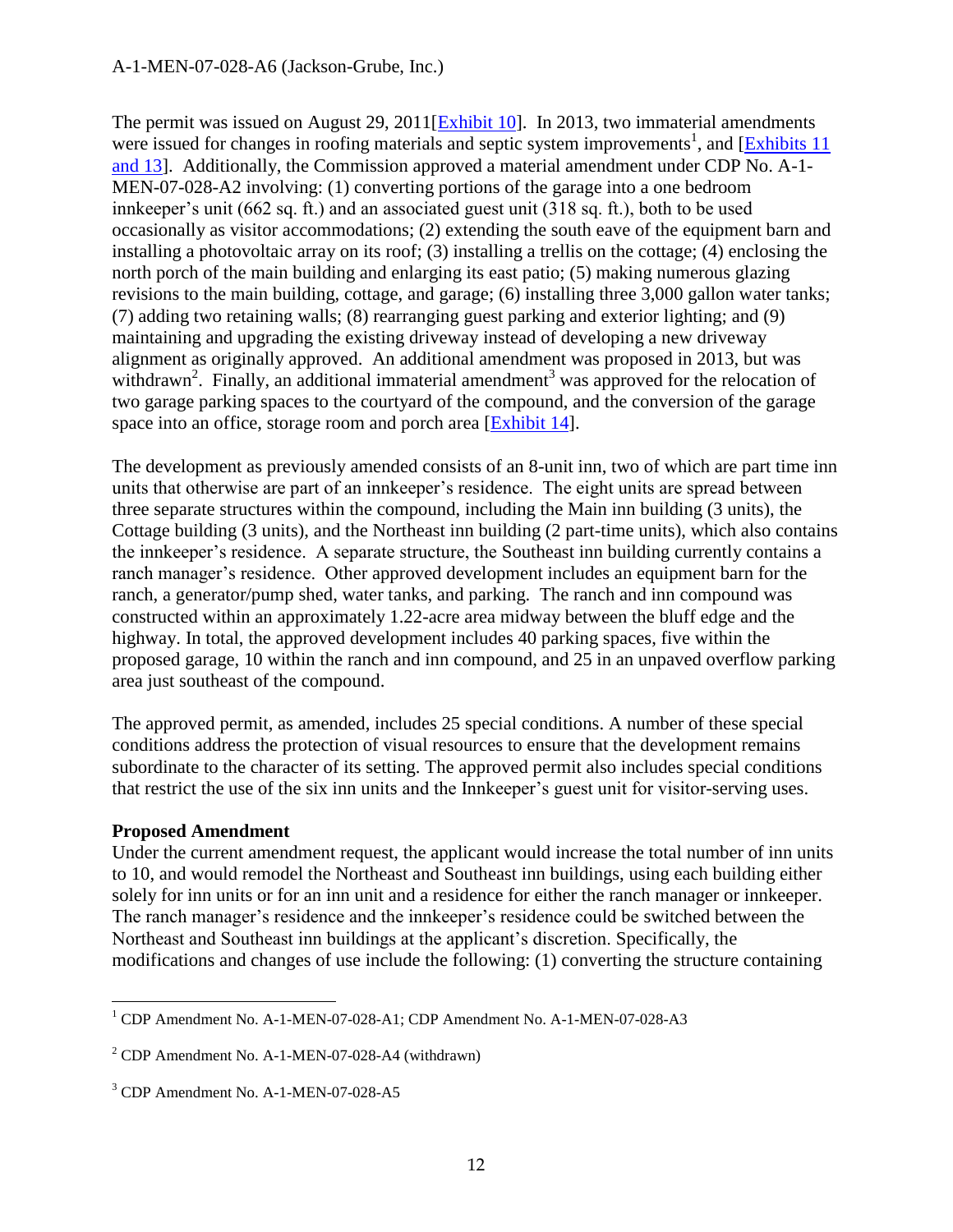The permit was issued on August 29, 2011[\[Exhibit 10\]](https://documents.coastal.ca.gov/reports/2018/12/th10a/th10a-12-2018-exhibits.pdf). In 2013, two immaterial amendments were issued for changes in roofing materials and septic system improvements<sup>1</sup>, and  $[Exhibits 11]$ [and 13\]](https://documents.coastal.ca.gov/reports/2018/12/th10a/th10a-12-2018-exhibits.pdf). Additionally, the Commission approved a material amendment under CDP No. A-1- MEN-07-028-A2 involving: (1) converting portions of the garage into a one bedroom innkeeper's unit (662 sq. ft.) and an associated guest unit (318 sq. ft.), both to be used occasionally as visitor accommodations; (2) extending the south eave of the equipment barn and installing a photovoltaic array on its roof; (3) installing a trellis on the cottage; (4) enclosing the north porch of the main building and enlarging its east patio; (5) making numerous glazing revisions to the main building, cottage, and garage; (6) installing three 3,000 gallon water tanks; (7) adding two retaining walls; (8) rearranging guest parking and exterior lighting; and (9) maintaining and upgrading the existing driveway instead of developing a new driveway alignment as originally approved. An additional amendment was proposed in 2013, but was withdrawn<sup>2</sup>. Finally, an additional immaterial amendment<sup>3</sup> was approved for the relocation of two garage parking spaces to the courtyard of the compound, and the conversion of the garage space into an office, storage room and porch area [\[Exhibit 14\]](https://documents.coastal.ca.gov/reports/2018/12/th10a/th10a-12-2018-exhibits.pdf).

The development as previously amended consists of an 8-unit inn, two of which are part time inn units that otherwise are part of an innkeeper's residence. The eight units are spread between three separate structures within the compound, including the Main inn building (3 units), the Cottage building (3 units), and the Northeast inn building (2 part-time units), which also contains the innkeeper's residence. A separate structure, the Southeast inn building currently contains a ranch manager's residence. Other approved development includes an equipment barn for the ranch, a generator/pump shed, water tanks, and parking. The ranch and inn compound was constructed within an approximately 1.22-acre area midway between the bluff edge and the highway. In total, the approved development includes 40 parking spaces, five within the proposed garage, 10 within the ranch and inn compound, and 25 in an unpaved overflow parking area just southeast of the compound.

The approved permit, as amended, includes 25 special conditions. A number of these special conditions address the protection of visual resources to ensure that the development remains subordinate to the character of its setting. The approved permit also includes special conditions that restrict the use of the six inn units and the Innkeeper's guest unit for visitor-serving uses.

#### **Proposed Amendment**

 $\overline{a}$ 

Under the current amendment request, the applicant would increase the total number of inn units to 10, and would remodel the Northeast and Southeast inn buildings, using each building either solely for inn units or for an inn unit and a residence for either the ranch manager or innkeeper. The ranch manager's residence and the innkeeper's residence could be switched between the Northeast and Southeast inn buildings at the applicant's discretion. Specifically, the modifications and changes of use include the following: (1) converting the structure containing

<sup>&</sup>lt;sup>1</sup> CDP Amendment No. A-1-MEN-07-028-A1; CDP Amendment No. A-1-MEN-07-028-A3

<sup>2</sup> CDP Amendment No. A-1-MEN-07-028-A4 (withdrawn)

<sup>&</sup>lt;sup>3</sup> CDP Amendment No. A-1-MEN-07-028-A5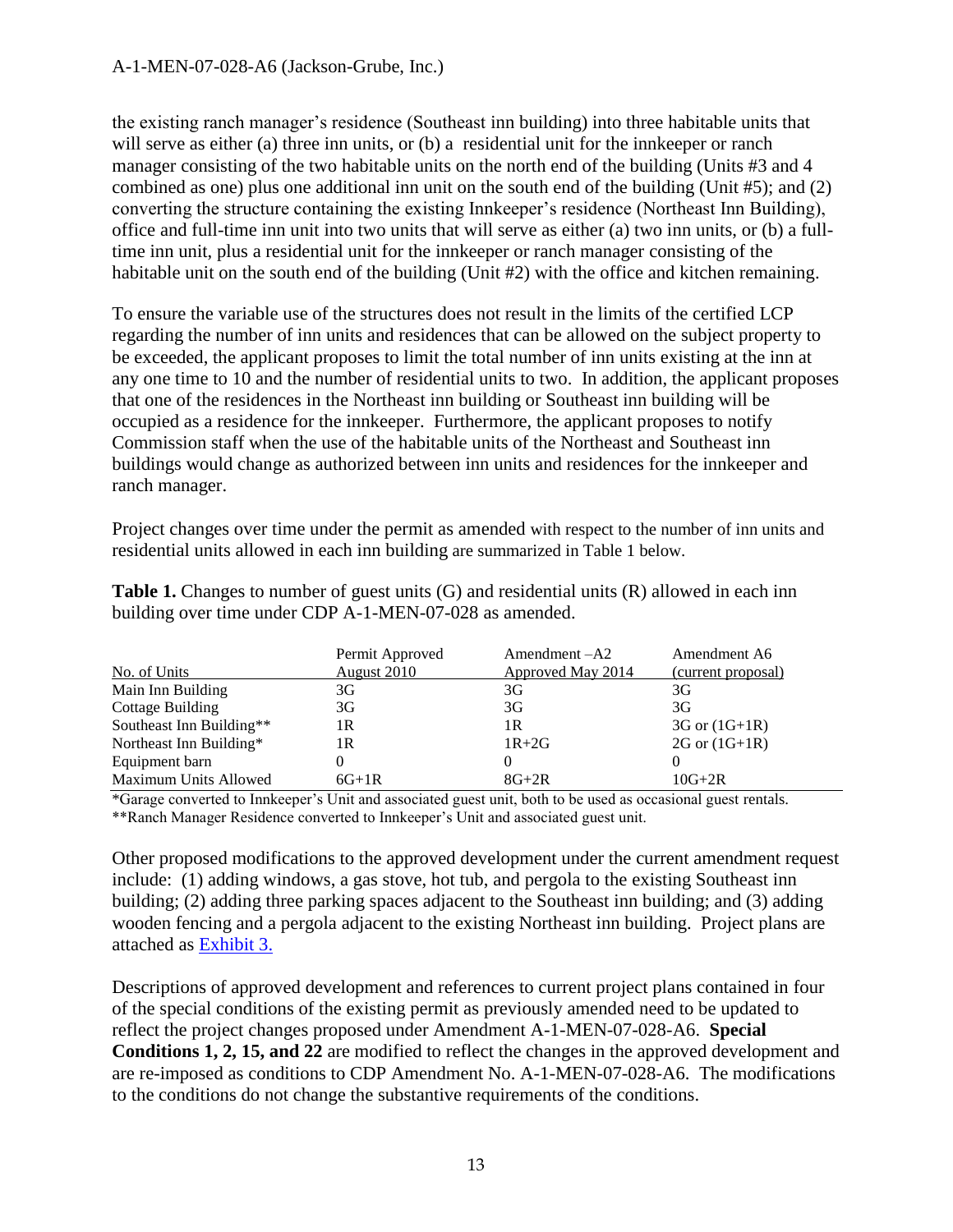#### A-1-MEN-07-028-A6 (Jackson-Grube, Inc.)

the existing ranch manager's residence (Southeast inn building) into three habitable units that will serve as either (a) three inn units, or (b) a residential unit for the innkeeper or ranch manager consisting of the two habitable units on the north end of the building (Units #3 and 4 combined as one) plus one additional inn unit on the south end of the building (Unit #5); and (2) converting the structure containing the existing Innkeeper's residence (Northeast Inn Building), office and full-time inn unit into two units that will serve as either (a) two inn units, or (b) a fulltime inn unit, plus a residential unit for the innkeeper or ranch manager consisting of the habitable unit on the south end of the building (Unit #2) with the office and kitchen remaining.

To ensure the variable use of the structures does not result in the limits of the certified LCP regarding the number of inn units and residences that can be allowed on the subject property to be exceeded, the applicant proposes to limit the total number of inn units existing at the inn at any one time to 10 and the number of residential units to two. In addition, the applicant proposes that one of the residences in the Northeast inn building or Southeast inn building will be occupied as a residence for the innkeeper. Furthermore, the applicant proposes to notify Commission staff when the use of the habitable units of the Northeast and Southeast inn buildings would change as authorized between inn units and residences for the innkeeper and ranch manager.

Project changes over time under the permit as amended with respect to the number of inn units and residential units allowed in each inn building are summarized in Table 1 below.

| No. of Units             | Permit Approved<br>August 2010 | $A$ mendment $-A2$<br>Approved May 2014 | Amendment A6<br>(current proposal) |
|--------------------------|--------------------------------|-----------------------------------------|------------------------------------|
| Main Inn Building        | 3G                             | 3G                                      | 3G                                 |
| Cottage Building         | 3G                             | 3G                                      | 3G                                 |
| Southeast Inn Building** | 1R                             | 1 R                                     | $3G$ or $(1G+1R)$                  |
| Northeast Inn Building*  | 1R                             | $1R+2G$                                 | $2G \text{ or } (1G+1R)$           |
| Equipment barn           |                                |                                         |                                    |
| Maximum Units Allowed    | $6G+1R$                        | $8G+2R$                                 | $10G+2R$                           |

**Table 1.** Changes to number of guest units (G) and residential units (R) allowed in each inn building over time under CDP A-1-MEN-07-028 as amended.

\*Garage converted to Innkeeper's Unit and associated guest unit, both to be used as occasional guest rentals. \*\*Ranch Manager Residence converted to Innkeeper's Unit and associated guest unit.

Other proposed modifications to the approved development under the current amendment request include: (1) adding windows, a gas stove, hot tub, and pergola to the existing Southeast inn building; (2) adding three parking spaces adjacent to the Southeast inn building; and (3) adding wooden fencing and a pergola adjacent to the existing Northeast inn building. Project plans are attached as [Exhibit 3.](https://documents.coastal.ca.gov/reports/2018/12/th10a/th10a-12-2018-exhibits.pdf)

Descriptions of approved development and references to current project plans contained in four of the special conditions of the existing permit as previously amended need to be updated to reflect the project changes proposed under Amendment A-1-MEN-07-028-A6. **Special Conditions 1, 2, 15, and 22** are modified to reflect the changes in the approved development and are re-imposed as conditions to CDP Amendment No. A-1-MEN-07-028-A6. The modifications to the conditions do not change the substantive requirements of the conditions.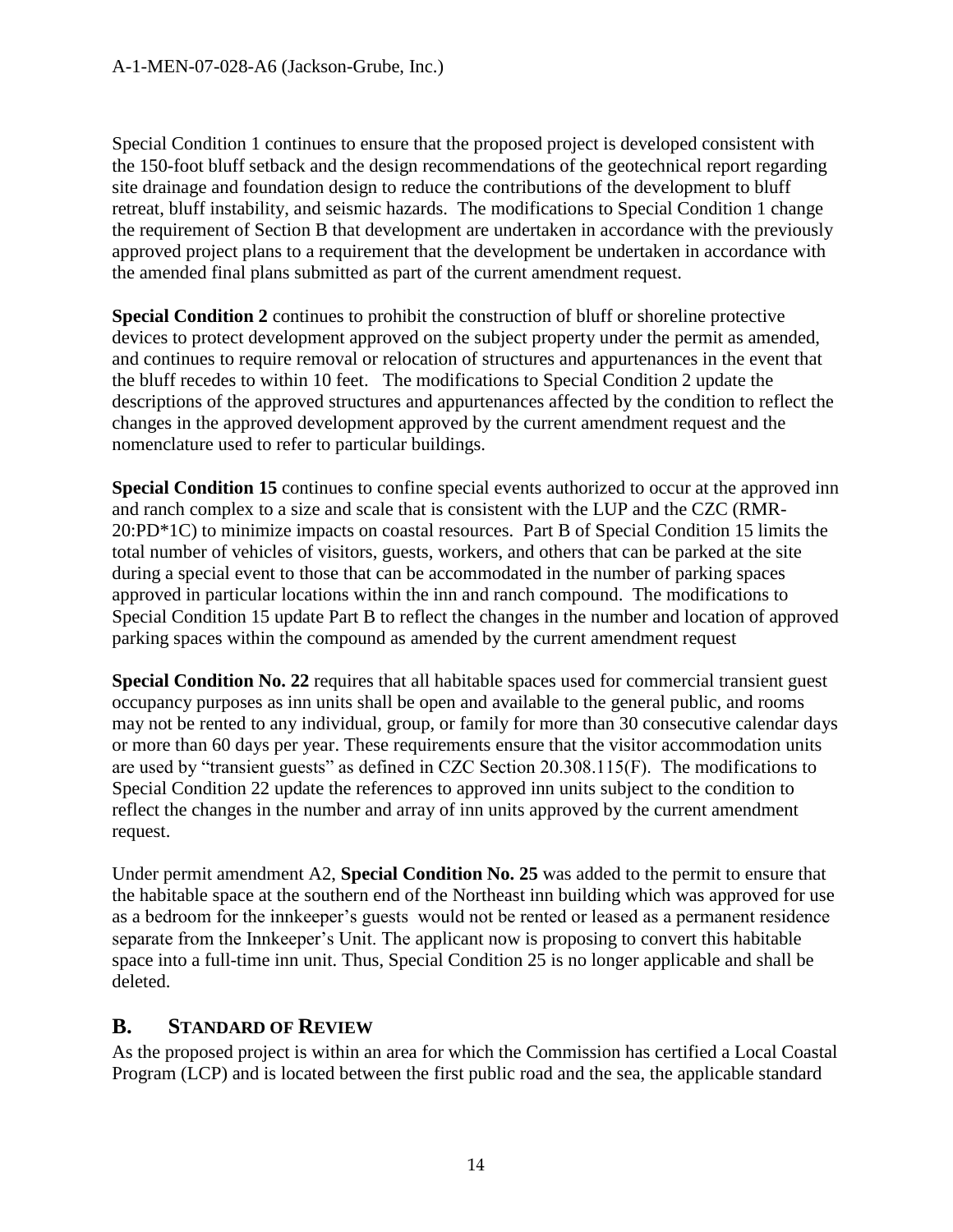Special Condition 1 continues to ensure that the proposed project is developed consistent with the 150-foot bluff setback and the design recommendations of the geotechnical report regarding site drainage and foundation design to reduce the contributions of the development to bluff retreat, bluff instability, and seismic hazards. The modifications to Special Condition 1 change the requirement of Section B that development are undertaken in accordance with the previously approved project plans to a requirement that the development be undertaken in accordance with the amended final plans submitted as part of the current amendment request.

**Special Condition 2** continues to prohibit the construction of bluff or shoreline protective devices to protect development approved on the subject property under the permit as amended, and continues to require removal or relocation of structures and appurtenances in the event that the bluff recedes to within 10 feet. The modifications to Special Condition 2 update the descriptions of the approved structures and appurtenances affected by the condition to reflect the changes in the approved development approved by the current amendment request and the nomenclature used to refer to particular buildings.

**Special Condition 15** continues to confine special events authorized to occur at the approved inn and ranch complex to a size and scale that is consistent with the LUP and the CZC (RMR-20:PD\*1C) to minimize impacts on coastal resources. Part B of Special Condition 15 limits the total number of vehicles of visitors, guests, workers, and others that can be parked at the site during a special event to those that can be accommodated in the number of parking spaces approved in particular locations within the inn and ranch compound. The modifications to Special Condition 15 update Part B to reflect the changes in the number and location of approved parking spaces within the compound as amended by the current amendment request

**Special Condition No. 22** requires that all habitable spaces used for commercial transient guest occupancy purposes as inn units shall be open and available to the general public, and rooms may not be rented to any individual, group, or family for more than 30 consecutive calendar days or more than 60 days per year. These requirements ensure that the visitor accommodation units are used by "transient guests" as defined in CZC Section 20.308.115(F). The modifications to Special Condition 22 update the references to approved inn units subject to the condition to reflect the changes in the number and array of inn units approved by the current amendment request.

Under permit amendment A2, **Special Condition No. 25** was added to the permit to ensure that the habitable space at the southern end of the Northeast inn building which was approved for use as a bedroom for the innkeeper's guests would not be rented or leased as a permanent residence separate from the Innkeeper's Unit. The applicant now is proposing to convert this habitable space into a full-time inn unit. Thus, Special Condition 25 is no longer applicable and shall be deleted.

## <span id="page-13-0"></span>**B. STANDARD OF REVIEW**

As the proposed project is within an area for which the Commission has certified a Local Coastal Program (LCP) and is located between the first public road and the sea, the applicable standard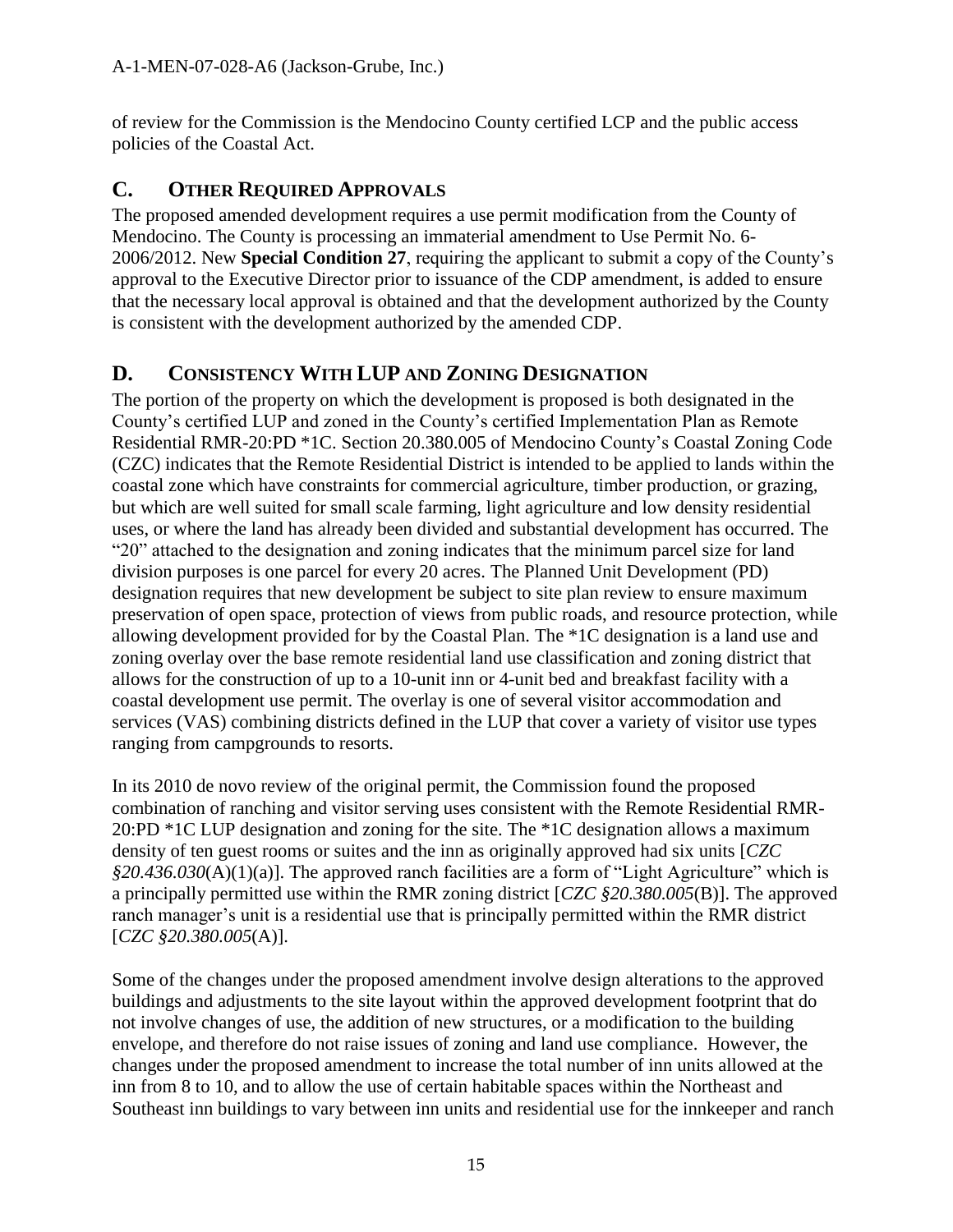of review for the Commission is the Mendocino County certified LCP and the public access policies of the Coastal Act.

## <span id="page-14-0"></span>**C. OTHER REQUIRED APPROVALS**

The proposed amended development requires a use permit modification from the County of Mendocino. The County is processing an immaterial amendment to Use Permit No. 6- 2006/2012. New **Special Condition 27**, requiring the applicant to submit a copy of the County's approval to the Executive Director prior to issuance of the CDP amendment, is added to ensure that the necessary local approval is obtained and that the development authorized by the County is consistent with the development authorized by the amended CDP.

## <span id="page-14-1"></span>**D. CONSISTENCY WITH LUP AND ZONING DESIGNATION**

The portion of the property on which the development is proposed is both designated in the County's certified LUP and zoned in the County's certified Implementation Plan as Remote Residential RMR-20:PD \*1C. Section 20.380.005 of Mendocino County's Coastal Zoning Code (CZC) indicates that the Remote Residential District is intended to be applied to lands within the coastal zone which have constraints for commercial agriculture, timber production, or grazing, but which are well suited for small scale farming, light agriculture and low density residential uses, or where the land has already been divided and substantial development has occurred. The "20" attached to the designation and zoning indicates that the minimum parcel size for land division purposes is one parcel for every 20 acres. The Planned Unit Development (PD) designation requires that new development be subject to site plan review to ensure maximum preservation of open space, protection of views from public roads, and resource protection, while allowing development provided for by the Coastal Plan. The \*1C designation is a land use and zoning overlay over the base remote residential land use classification and zoning district that allows for the construction of up to a 10-unit inn or 4-unit bed and breakfast facility with a coastal development use permit. The overlay is one of several visitor accommodation and services (VAS) combining districts defined in the LUP that cover a variety of visitor use types ranging from campgrounds to resorts.

In its 2010 de novo review of the original permit, the Commission found the proposed combination of ranching and visitor serving uses consistent with the Remote Residential RMR-20:PD \*1C LUP designation and zoning for the site. The \*1C designation allows a maximum density of ten guest rooms or suites and the inn as originally approved had six units [*CZC §20.436.030*(A)(1)(a)]. The approved ranch facilities are a form of "Light Agriculture" which is a principally permitted use within the RMR zoning district [*CZC §20.380.005*(B)]. The approved ranch manager's unit is a residential use that is principally permitted within the RMR district [*CZC §20.380.005*(A)].

Some of the changes under the proposed amendment involve design alterations to the approved buildings and adjustments to the site layout within the approved development footprint that do not involve changes of use, the addition of new structures, or a modification to the building envelope, and therefore do not raise issues of zoning and land use compliance. However, the changes under the proposed amendment to increase the total number of inn units allowed at the inn from 8 to 10, and to allow the use of certain habitable spaces within the Northeast and Southeast inn buildings to vary between inn units and residential use for the innkeeper and ranch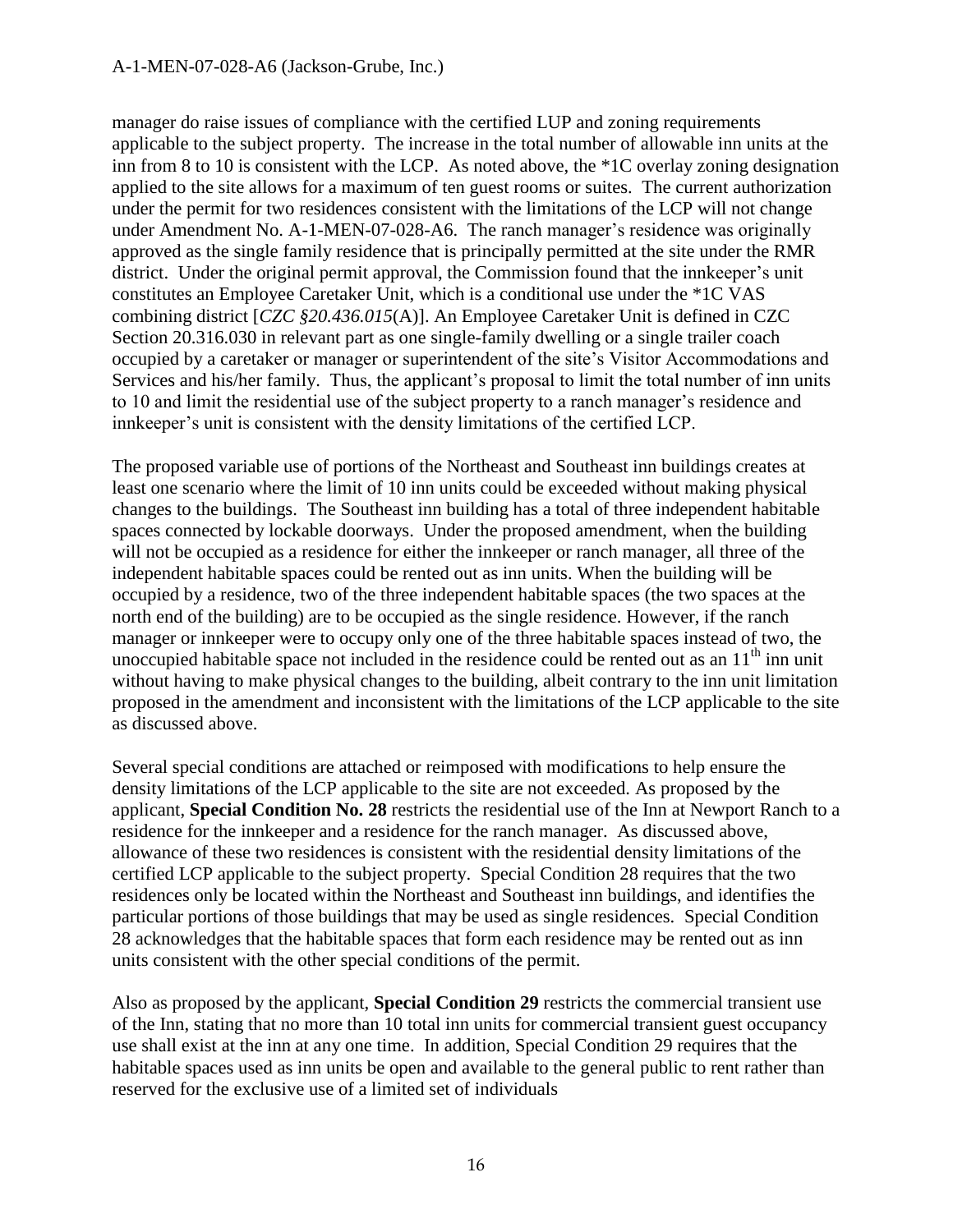#### A-1-MEN-07-028-A6 (Jackson-Grube, Inc.)

manager do raise issues of compliance with the certified LUP and zoning requirements applicable to the subject property. The increase in the total number of allowable inn units at the inn from 8 to 10 is consistent with the LCP. As noted above, the \*1C overlay zoning designation applied to the site allows for a maximum of ten guest rooms or suites. The current authorization under the permit for two residences consistent with the limitations of the LCP will not change under Amendment No. A-1-MEN-07-028-A6. The ranch manager's residence was originally approved as the single family residence that is principally permitted at the site under the RMR district. Under the original permit approval, the Commission found that the innkeeper's unit constitutes an Employee Caretaker Unit, which is a conditional use under the \*1C VAS combining district [*CZC §20.436.015*(A)]. An Employee Caretaker Unit is defined in CZC Section 20.316.030 in relevant part as one single-family dwelling or a single trailer coach occupied by a caretaker or manager or superintendent of the site's Visitor Accommodations and Services and his/her family. Thus, the applicant's proposal to limit the total number of inn units to 10 and limit the residential use of the subject property to a ranch manager's residence and innkeeper's unit is consistent with the density limitations of the certified LCP.

The proposed variable use of portions of the Northeast and Southeast inn buildings creates at least one scenario where the limit of 10 inn units could be exceeded without making physical changes to the buildings. The Southeast inn building has a total of three independent habitable spaces connected by lockable doorways. Under the proposed amendment, when the building will not be occupied as a residence for either the innkeeper or ranch manager, all three of the independent habitable spaces could be rented out as inn units. When the building will be occupied by a residence, two of the three independent habitable spaces (the two spaces at the north end of the building) are to be occupied as the single residence. However, if the ranch manager or innkeeper were to occupy only one of the three habitable spaces instead of two, the unoccupied habitable space not included in the residence could be rented out as an  $11<sup>th</sup>$  inn unit without having to make physical changes to the building, albeit contrary to the inn unit limitation proposed in the amendment and inconsistent with the limitations of the LCP applicable to the site as discussed above.

Several special conditions are attached or reimposed with modifications to help ensure the density limitations of the LCP applicable to the site are not exceeded. As proposed by the applicant, **Special Condition No. 28** restricts the residential use of the Inn at Newport Ranch to a residence for the innkeeper and a residence for the ranch manager. As discussed above, allowance of these two residences is consistent with the residential density limitations of the certified LCP applicable to the subject property. Special Condition 28 requires that the two residences only be located within the Northeast and Southeast inn buildings, and identifies the particular portions of those buildings that may be used as single residences. Special Condition 28 acknowledges that the habitable spaces that form each residence may be rented out as inn units consistent with the other special conditions of the permit.

Also as proposed by the applicant, **Special Condition 29** restricts the commercial transient use of the Inn, stating that no more than 10 total inn units for commercial transient guest occupancy use shall exist at the inn at any one time. In addition, Special Condition 29 requires that the habitable spaces used as inn units be open and available to the general public to rent rather than reserved for the exclusive use of a limited set of individuals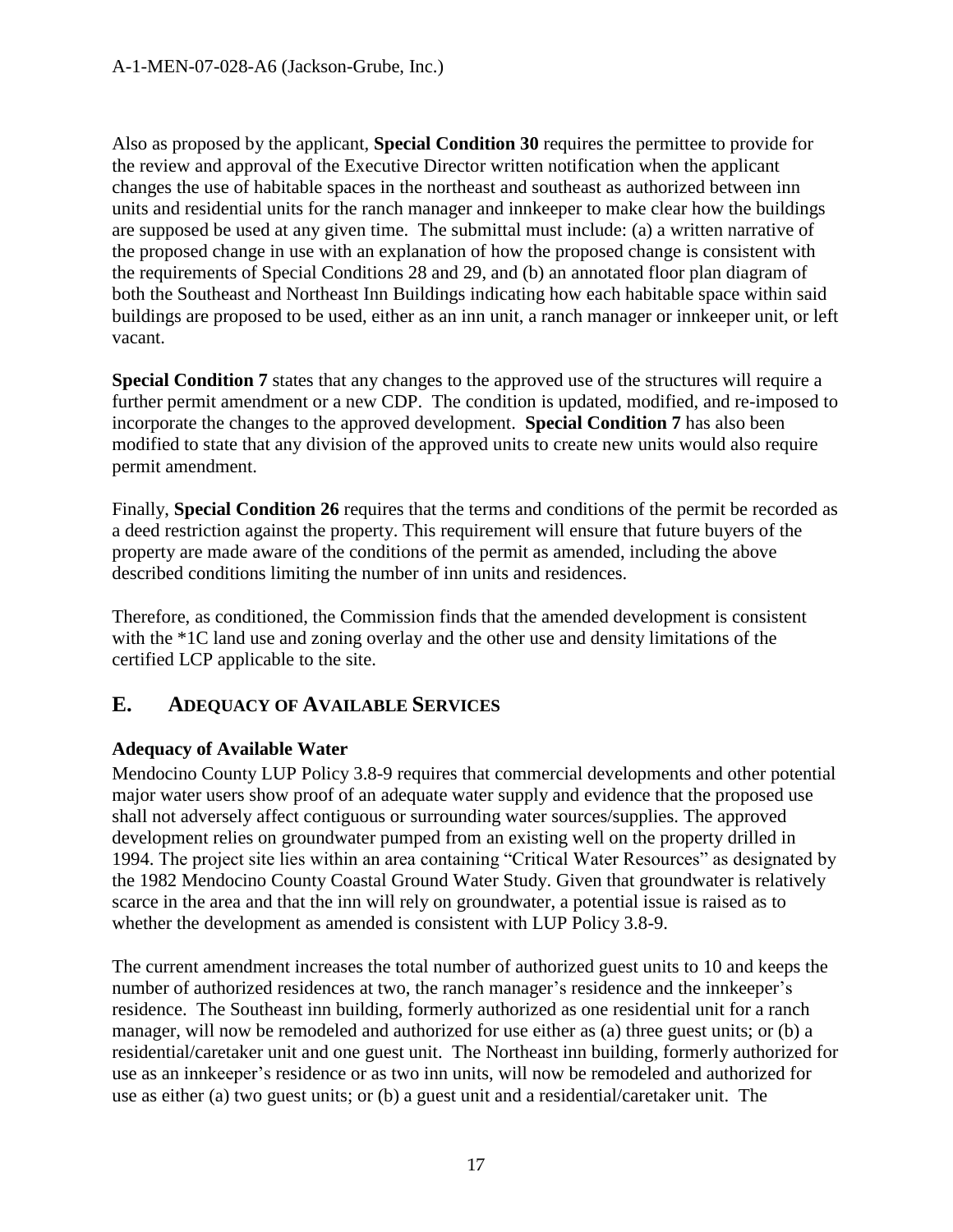Also as proposed by the applicant, **Special Condition 30** requires the permittee to provide for the review and approval of the Executive Director written notification when the applicant changes the use of habitable spaces in the northeast and southeast as authorized between inn units and residential units for the ranch manager and innkeeper to make clear how the buildings are supposed be used at any given time. The submittal must include: (a) a written narrative of the proposed change in use with an explanation of how the proposed change is consistent with the requirements of Special Conditions 28 and 29, and (b) an annotated floor plan diagram of both the Southeast and Northeast Inn Buildings indicating how each habitable space within said buildings are proposed to be used, either as an inn unit, a ranch manager or innkeeper unit, or left vacant.

**Special Condition 7** states that any changes to the approved use of the structures will require a further permit amendment or a new CDP. The condition is updated, modified, and re-imposed to incorporate the changes to the approved development. **Special Condition 7** has also been modified to state that any division of the approved units to create new units would also require permit amendment.

Finally, **Special Condition 26** requires that the terms and conditions of the permit be recorded as a deed restriction against the property. This requirement will ensure that future buyers of the property are made aware of the conditions of the permit as amended, including the above described conditions limiting the number of inn units and residences.

Therefore, as conditioned, the Commission finds that the amended development is consistent with the \*1C land use and zoning overlay and the other use and density limitations of the certified LCP applicable to the site.

## <span id="page-16-0"></span>**E. ADEQUACY OF AVAILABLE SERVICES**

#### **Adequacy of Available Water**

Mendocino County LUP Policy 3.8-9 requires that commercial developments and other potential major water users show proof of an adequate water supply and evidence that the proposed use shall not adversely affect contiguous or surrounding water sources/supplies. The approved development relies on groundwater pumped from an existing well on the property drilled in 1994. The project site lies within an area containing "Critical Water Resources" as designated by the 1982 Mendocino County Coastal Ground Water Study. Given that groundwater is relatively scarce in the area and that the inn will rely on groundwater, a potential issue is raised as to whether the development as amended is consistent with LUP Policy 3.8-9.

The current amendment increases the total number of authorized guest units to 10 and keeps the number of authorized residences at two, the ranch manager's residence and the innkeeper's residence. The Southeast inn building, formerly authorized as one residential unit for a ranch manager, will now be remodeled and authorized for use either as (a) three guest units; or (b) a residential/caretaker unit and one guest unit. The Northeast inn building, formerly authorized for use as an innkeeper's residence or as two inn units, will now be remodeled and authorized for use as either (a) two guest units; or (b) a guest unit and a residential/caretaker unit. The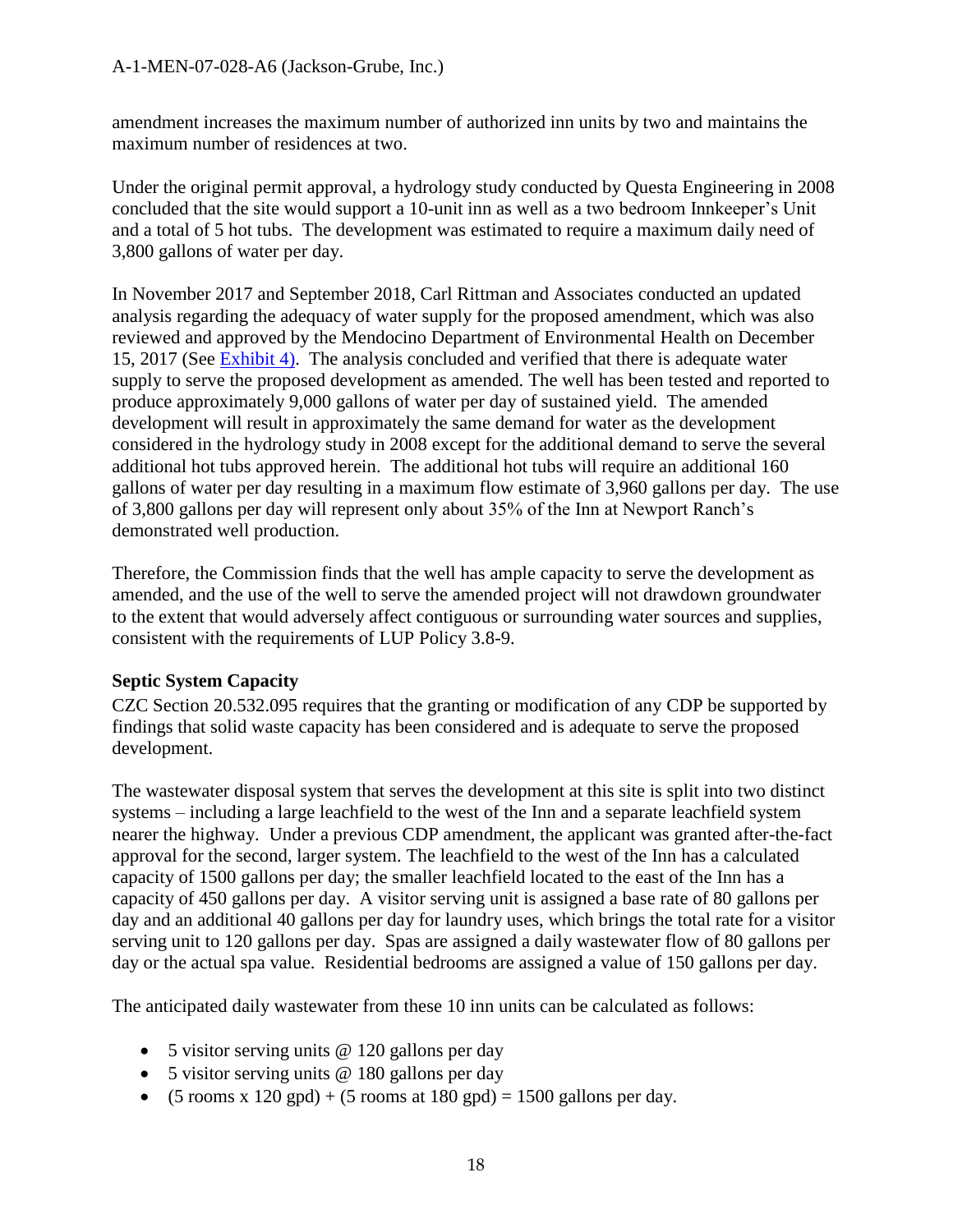amendment increases the maximum number of authorized inn units by two and maintains the maximum number of residences at two.

Under the original permit approval, a hydrology study conducted by Questa Engineering in 2008 concluded that the site would support a 10-unit inn as well as a two bedroom Innkeeper's Unit and a total of 5 hot tubs. The development was estimated to require a maximum daily need of 3,800 gallons of water per day.

In November 2017 and September 2018, Carl Rittman and Associates conducted an updated analysis regarding the adequacy of water supply for the proposed amendment, which was also reviewed and approved by the Mendocino Department of Environmental Health on December 15, 2017 (See [Exhibit](https://documents.coastal.ca.gov/reports/2018/12/th10a/th10a-12-2018-exhibits.pdf) 4). The analysis concluded and verified that there is adequate water supply to serve the proposed development as amended. The well has been tested and reported to produce approximately 9,000 gallons of water per day of sustained yield. The amended development will result in approximately the same demand for water as the development considered in the hydrology study in 2008 except for the additional demand to serve the several additional hot tubs approved herein. The additional hot tubs will require an additional 160 gallons of water per day resulting in a maximum flow estimate of 3,960 gallons per day. The use of 3,800 gallons per day will represent only about 35% of the Inn at Newport Ranch's demonstrated well production.

Therefore, the Commission finds that the well has ample capacity to serve the development as amended, and the use of the well to serve the amended project will not drawdown groundwater to the extent that would adversely affect contiguous or surrounding water sources and supplies, consistent with the requirements of LUP Policy 3.8-9.

#### **Septic System Capacity**

CZC Section 20.532.095 requires that the granting or modification of any CDP be supported by findings that solid waste capacity has been considered and is adequate to serve the proposed development.

The wastewater disposal system that serves the development at this site is split into two distinct systems – including a large leachfield to the west of the Inn and a separate leachfield system nearer the highway. Under a previous CDP amendment, the applicant was granted after-the-fact approval for the second, larger system. The leachfield to the west of the Inn has a calculated capacity of 1500 gallons per day; the smaller leachfield located to the east of the Inn has a capacity of 450 gallons per day. A visitor serving unit is assigned a base rate of 80 gallons per day and an additional 40 gallons per day for laundry uses, which brings the total rate for a visitor serving unit to 120 gallons per day. Spas are assigned a daily wastewater flow of 80 gallons per day or the actual spa value. Residential bedrooms are assigned a value of 150 gallons per day.

The anticipated daily wastewater from these 10 inn units can be calculated as follows:

- 5 visitor serving units @ 120 gallons per day
- 5 visitor serving units @ 180 gallons per day
- $\bullet$  (5 rooms x 120 gpd) + (5 rooms at 180 gpd) = 1500 gallons per day.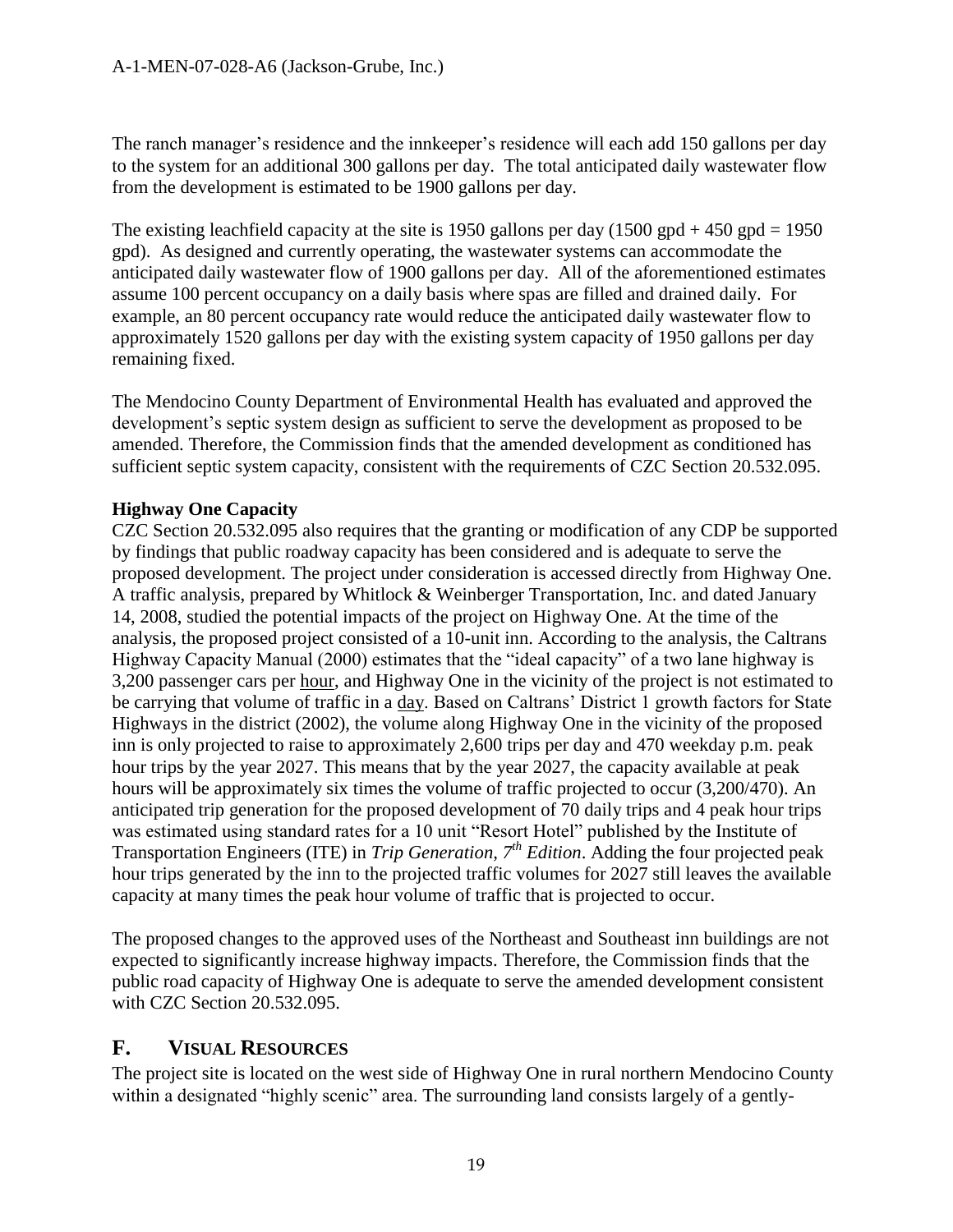The ranch manager's residence and the innkeeper's residence will each add 150 gallons per day to the system for an additional 300 gallons per day. The total anticipated daily wastewater flow from the development is estimated to be 1900 gallons per day.

The existing leachfield capacity at the site is 1950 gallons per day  $(1500 \text{ gpd} + 450 \text{ gpd} = 1950$ gpd). As designed and currently operating, the wastewater systems can accommodate the anticipated daily wastewater flow of 1900 gallons per day. All of the aforementioned estimates assume 100 percent occupancy on a daily basis where spas are filled and drained daily. For example, an 80 percent occupancy rate would reduce the anticipated daily wastewater flow to approximately 1520 gallons per day with the existing system capacity of 1950 gallons per day remaining fixed.

The Mendocino County Department of Environmental Health has evaluated and approved the development's septic system design as sufficient to serve the development as proposed to be amended. Therefore, the Commission finds that the amended development as conditioned has sufficient septic system capacity, consistent with the requirements of CZC Section 20.532.095.

#### **Highway One Capacity**

CZC Section 20.532.095 also requires that the granting or modification of any CDP be supported by findings that public roadway capacity has been considered and is adequate to serve the proposed development. The project under consideration is accessed directly from Highway One. A traffic analysis, prepared by Whitlock & Weinberger Transportation, Inc. and dated January 14, 2008, studied the potential impacts of the project on Highway One. At the time of the analysis, the proposed project consisted of a 10-unit inn. According to the analysis, the Caltrans Highway Capacity Manual (2000) estimates that the "ideal capacity" of a two lane highway is 3,200 passenger cars per hour, and Highway One in the vicinity of the project is not estimated to be carrying that volume of traffic in a day. Based on Caltrans' District 1 growth factors for State Highways in the district (2002), the volume along Highway One in the vicinity of the proposed inn is only projected to raise to approximately 2,600 trips per day and 470 weekday p.m. peak hour trips by the year 2027. This means that by the year 2027, the capacity available at peak hours will be approximately six times the volume of traffic projected to occur (3,200/470). An anticipated trip generation for the proposed development of 70 daily trips and 4 peak hour trips was estimated using standard rates for a 10 unit "Resort Hotel" published by the Institute of Transportation Engineers (ITE) in *Trip Generation, 7th Edition*. Adding the four projected peak hour trips generated by the inn to the projected traffic volumes for 2027 still leaves the available capacity at many times the peak hour volume of traffic that is projected to occur.

The proposed changes to the approved uses of the Northeast and Southeast inn buildings are not expected to significantly increase highway impacts. Therefore, the Commission finds that the public road capacity of Highway One is adequate to serve the amended development consistent with CZC Section 20.532.095.

#### <span id="page-18-0"></span>**F. VISUAL RESOURCES**

The project site is located on the west side of Highway One in rural northern Mendocino County within a designated "highly scenic" area. The surrounding land consists largely of a gently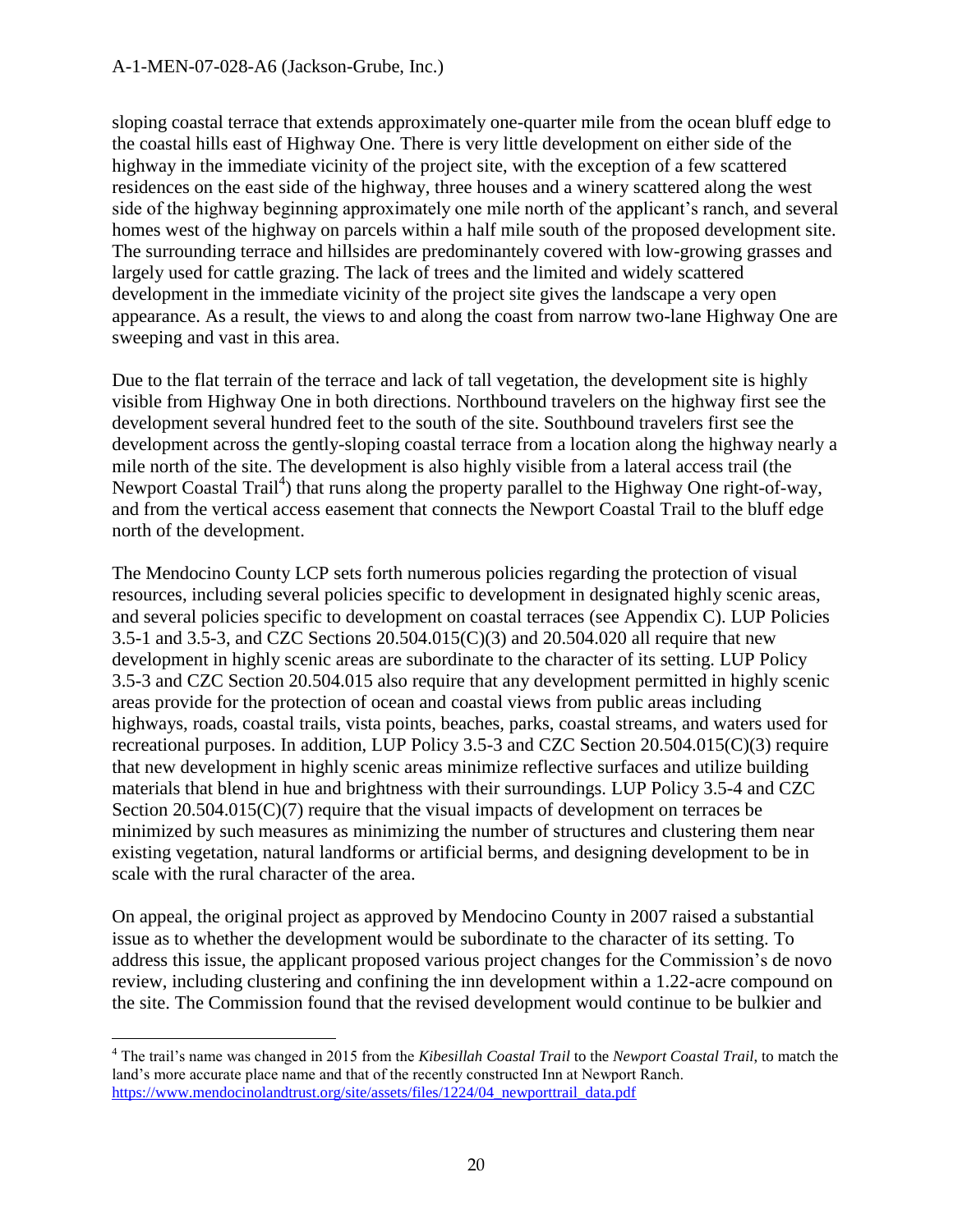sloping coastal terrace that extends approximately one-quarter mile from the ocean bluff edge to the coastal hills east of Highway One. There is very little development on either side of the highway in the immediate vicinity of the project site, with the exception of a few scattered residences on the east side of the highway, three houses and a winery scattered along the west side of the highway beginning approximately one mile north of the applicant's ranch, and several homes west of the highway on parcels within a half mile south of the proposed development site. The surrounding terrace and hillsides are predominantely covered with low-growing grasses and largely used for cattle grazing. The lack of trees and the limited and widely scattered development in the immediate vicinity of the project site gives the landscape a very open appearance. As a result, the views to and along the coast from narrow two-lane Highway One are sweeping and vast in this area.

Due to the flat terrain of the terrace and lack of tall vegetation, the development site is highly visible from Highway One in both directions. Northbound travelers on the highway first see the development several hundred feet to the south of the site. Southbound travelers first see the development across the gently-sloping coastal terrace from a location along the highway nearly a mile north of the site. The development is also highly visible from a lateral access trail (the Newport Coastal Trail<sup>4</sup>) that runs along the property parallel to the Highway One right-of-way, and from the vertical access easement that connects the Newport Coastal Trail to the bluff edge north of the development.

The Mendocino County LCP sets forth numerous policies regarding the protection of visual resources, including several policies specific to development in designated highly scenic areas, and several policies specific to development on coastal terraces (see Appendix C). LUP Policies 3.5-1 and 3.5-3, and CZC Sections 20.504.015(C)(3) and 20.504.020 all require that new development in highly scenic areas are subordinate to the character of its setting. LUP Policy 3.5-3 and CZC Section 20.504.015 also require that any development permitted in highly scenic areas provide for the protection of ocean and coastal views from public areas including highways, roads, coastal trails, vista points, beaches, parks, coastal streams, and waters used for recreational purposes. In addition, LUP Policy 3.5-3 and CZC Section 20.504.015(C)(3) require that new development in highly scenic areas minimize reflective surfaces and utilize building materials that blend in hue and brightness with their surroundings. LUP Policy 3.5-4 and CZC Section 20.504.015(C)(7) require that the visual impacts of development on terraces be minimized by such measures as minimizing the number of structures and clustering them near existing vegetation, natural landforms or artificial berms, and designing development to be in scale with the rural character of the area.

On appeal, the original project as approved by Mendocino County in 2007 raised a substantial issue as to whether the development would be subordinate to the character of its setting. To address this issue, the applicant proposed various project changes for the Commission's de novo review, including clustering and confining the inn development within a 1.22-acre compound on the site. The Commission found that the revised development would continue to be bulkier and

 $\overline{a}$ <sup>4</sup> The trail's name was changed in 2015 from the *Kibesillah Coastal Trail* to the *Newport Coastal Trail*, to match the land's more accurate place name and that of the recently constructed Inn at Newport Ranch. https://www.mendocinolandtrust.org/site/assets/files/1224/04 newporttrail data.pdf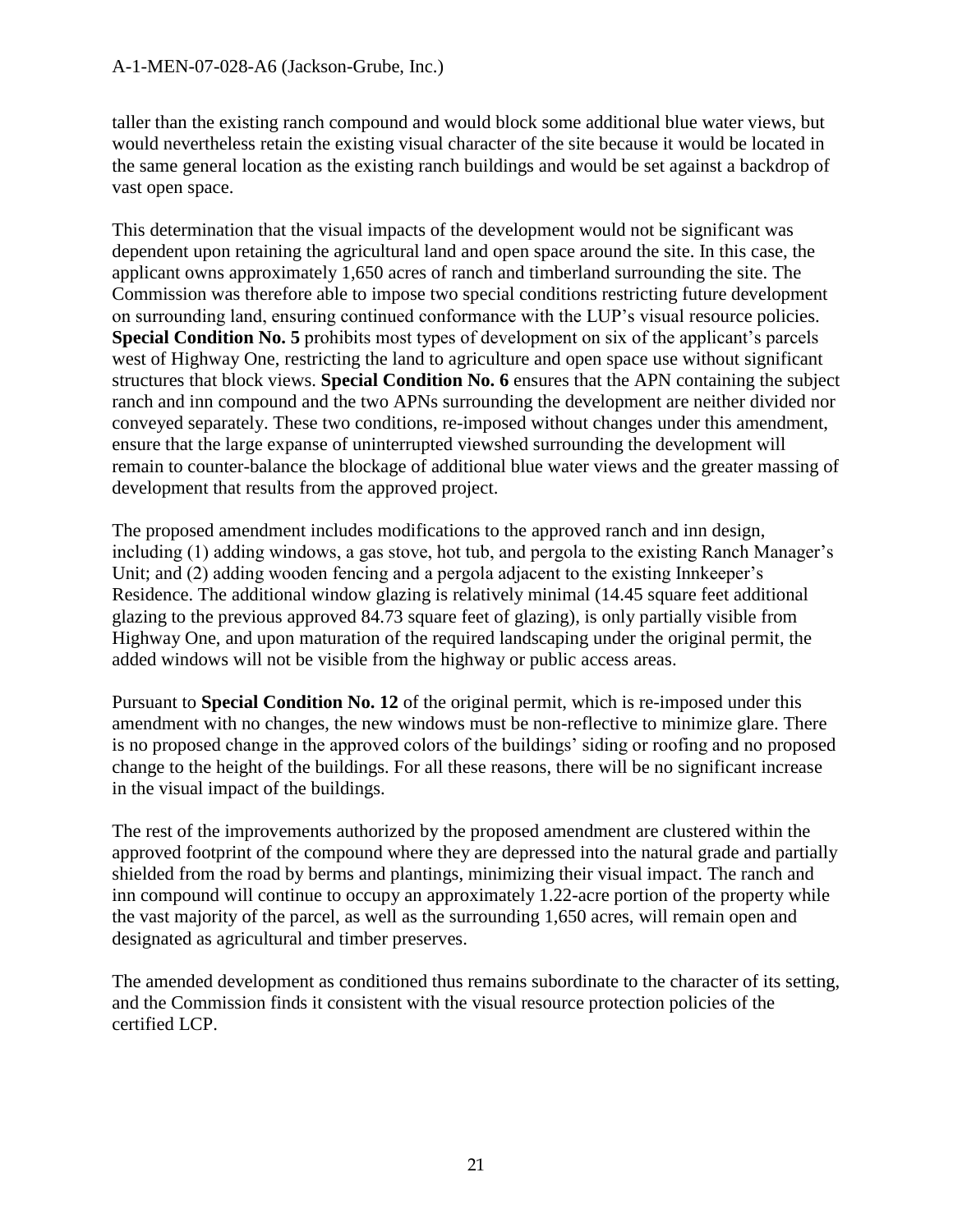taller than the existing ranch compound and would block some additional blue water views, but would nevertheless retain the existing visual character of the site because it would be located in the same general location as the existing ranch buildings and would be set against a backdrop of vast open space.

This determination that the visual impacts of the development would not be significant was dependent upon retaining the agricultural land and open space around the site. In this case, the applicant owns approximately 1,650 acres of ranch and timberland surrounding the site. The Commission was therefore able to impose two special conditions restricting future development on surrounding land, ensuring continued conformance with the LUP's visual resource policies. **Special Condition No. 5** prohibits most types of development on six of the applicant's parcels west of Highway One, restricting the land to agriculture and open space use without significant structures that block views. **Special Condition No. 6** ensures that the APN containing the subject ranch and inn compound and the two APNs surrounding the development are neither divided nor conveyed separately. These two conditions, re-imposed without changes under this amendment, ensure that the large expanse of uninterrupted viewshed surrounding the development will remain to counter-balance the blockage of additional blue water views and the greater massing of development that results from the approved project.

The proposed amendment includes modifications to the approved ranch and inn design, including (1) adding windows, a gas stove, hot tub, and pergola to the existing Ranch Manager's Unit; and (2) adding wooden fencing and a pergola adjacent to the existing Innkeeper's Residence. The additional window glazing is relatively minimal (14.45 square feet additional glazing to the previous approved 84.73 square feet of glazing), is only partially visible from Highway One, and upon maturation of the required landscaping under the original permit, the added windows will not be visible from the highway or public access areas.

Pursuant to **Special Condition No. 12** of the original permit, which is re-imposed under this amendment with no changes, the new windows must be non-reflective to minimize glare. There is no proposed change in the approved colors of the buildings' siding or roofing and no proposed change to the height of the buildings. For all these reasons, there will be no significant increase in the visual impact of the buildings.

The rest of the improvements authorized by the proposed amendment are clustered within the approved footprint of the compound where they are depressed into the natural grade and partially shielded from the road by berms and plantings, minimizing their visual impact. The ranch and inn compound will continue to occupy an approximately 1.22-acre portion of the property while the vast majority of the parcel, as well as the surrounding 1,650 acres, will remain open and designated as agricultural and timber preserves.

The amended development as conditioned thus remains subordinate to the character of its setting, and the Commission finds it consistent with the visual resource protection policies of the certified LCP.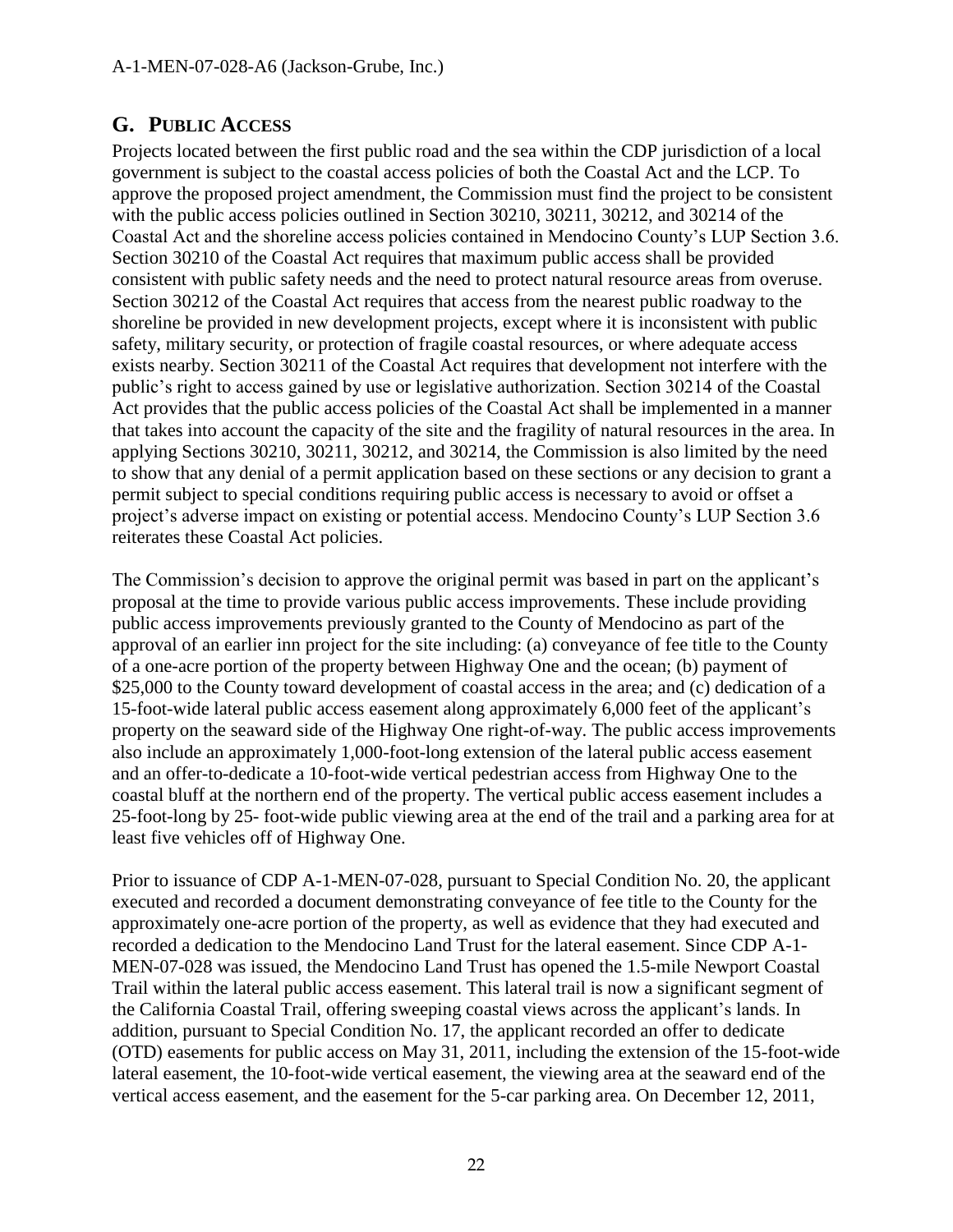## <span id="page-21-0"></span>**G. PUBLIC ACCESS**

Projects located between the first public road and the sea within the CDP jurisdiction of a local government is subject to the coastal access policies of both the Coastal Act and the LCP. To approve the proposed project amendment, the Commission must find the project to be consistent with the public access policies outlined in Section 30210, 30211, 30212, and 30214 of the Coastal Act and the shoreline access policies contained in Mendocino County's LUP Section 3.6. Section 30210 of the Coastal Act requires that maximum public access shall be provided consistent with public safety needs and the need to protect natural resource areas from overuse. Section 30212 of the Coastal Act requires that access from the nearest public roadway to the shoreline be provided in new development projects, except where it is inconsistent with public safety, military security, or protection of fragile coastal resources, or where adequate access exists nearby. Section 30211 of the Coastal Act requires that development not interfere with the public's right to access gained by use or legislative authorization. Section 30214 of the Coastal Act provides that the public access policies of the Coastal Act shall be implemented in a manner that takes into account the capacity of the site and the fragility of natural resources in the area. In applying Sections 30210, 30211, 30212, and 30214, the Commission is also limited by the need to show that any denial of a permit application based on these sections or any decision to grant a permit subject to special conditions requiring public access is necessary to avoid or offset a project's adverse impact on existing or potential access. Mendocino County's LUP Section 3.6 reiterates these Coastal Act policies.

The Commission's decision to approve the original permit was based in part on the applicant's proposal at the time to provide various public access improvements. These include providing public access improvements previously granted to the County of Mendocino as part of the approval of an earlier inn project for the site including: (a) conveyance of fee title to the County of a one-acre portion of the property between Highway One and the ocean; (b) payment of \$25,000 to the County toward development of coastal access in the area; and (c) dedication of a 15-foot-wide lateral public access easement along approximately 6,000 feet of the applicant's property on the seaward side of the Highway One right-of-way. The public access improvements also include an approximately 1,000-foot-long extension of the lateral public access easement and an offer-to-dedicate a 10-foot-wide vertical pedestrian access from Highway One to the coastal bluff at the northern end of the property. The vertical public access easement includes a 25-foot-long by 25- foot-wide public viewing area at the end of the trail and a parking area for at least five vehicles off of Highway One.

Prior to issuance of CDP A-1-MEN-07-028, pursuant to Special Condition No. 20, the applicant executed and recorded a document demonstrating conveyance of fee title to the County for the approximately one-acre portion of the property, as well as evidence that they had executed and recorded a dedication to the Mendocino Land Trust for the lateral easement. Since CDP A-1- MEN-07-028 was issued, the Mendocino Land Trust has opened the 1.5-mile Newport Coastal Trail within the lateral public access easement. This lateral trail is now a significant segment of the California Coastal Trail, offering sweeping coastal views across the applicant's lands. In addition, pursuant to Special Condition No. 17, the applicant recorded an offer to dedicate (OTD) easements for public access on May 31, 2011, including the extension of the 15-foot-wide lateral easement, the 10-foot-wide vertical easement, the viewing area at the seaward end of the vertical access easement, and the easement for the 5-car parking area. On December 12, 2011,